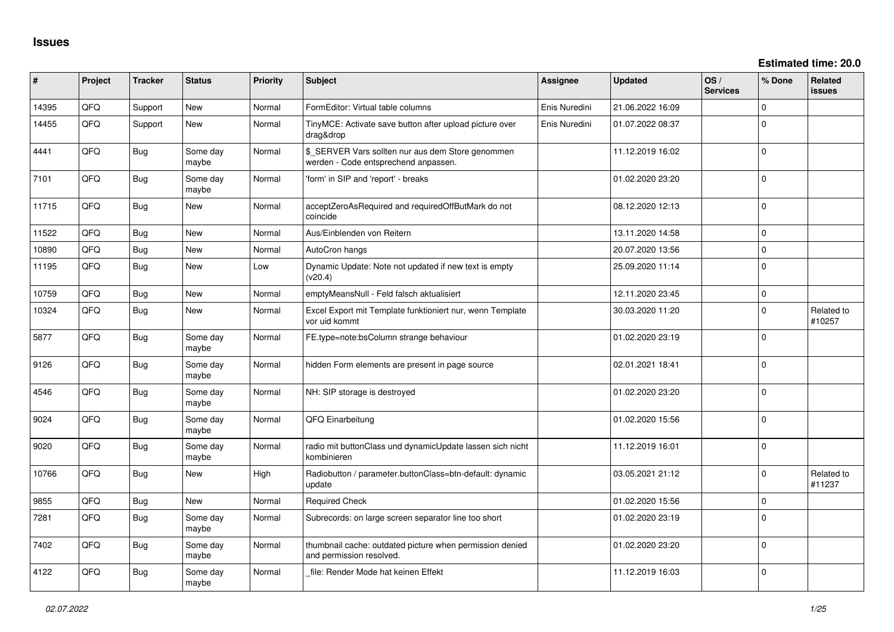**Estimated time: 20.0**

| ∦     | Project | <b>Tracker</b> | <b>Status</b>     | <b>Priority</b> | <b>Subject</b>                                                                            | Assignee      | <b>Updated</b>   | OS/<br><b>Services</b> | % Done         | <b>Related</b><br>issues |
|-------|---------|----------------|-------------------|-----------------|-------------------------------------------------------------------------------------------|---------------|------------------|------------------------|----------------|--------------------------|
| 14395 | QFQ     | Support        | New               | Normal          | FormEditor: Virtual table columns                                                         | Enis Nuredini | 21.06.2022 16:09 |                        | $\Omega$       |                          |
| 14455 | QFQ     | Support        | <b>New</b>        | Normal          | TinyMCE: Activate save button after upload picture over<br>drag&drop                      | Enis Nuredini | 01.07.2022 08:37 |                        | $\overline{0}$ |                          |
| 4441  | QFQ     | <b>Bug</b>     | Some day<br>maybe | Normal          | \$_SERVER Vars sollten nur aus dem Store genommen<br>werden - Code entsprechend anpassen. |               | 11.12.2019 16:02 |                        | $\Omega$       |                          |
| 7101  | QFQ     | Bug            | Some day<br>maybe | Normal          | 'form' in SIP and 'report' - breaks                                                       |               | 01.02.2020 23:20 |                        | $\Omega$       |                          |
| 11715 | QFQ     | <b>Bug</b>     | <b>New</b>        | Normal          | acceptZeroAsRequired and requiredOffButMark do not<br>coincide                            |               | 08.12.2020 12:13 |                        | $\Omega$       |                          |
| 11522 | QFQ     | <b>Bug</b>     | <b>New</b>        | Normal          | Aus/Einblenden von Reitern                                                                |               | 13.11.2020 14:58 |                        | $\Omega$       |                          |
| 10890 | QFQ     | <b>Bug</b>     | <b>New</b>        | Normal          | AutoCron hangs                                                                            |               | 20.07.2020 13:56 |                        | $\Omega$       |                          |
| 11195 | QFQ     | <b>Bug</b>     | <b>New</b>        | Low             | Dynamic Update: Note not updated if new text is empty<br>(v20.4)                          |               | 25.09.2020 11:14 |                        | $\Omega$       |                          |
| 10759 | QFQ     | Bug            | <b>New</b>        | Normal          | emptyMeansNull - Feld falsch aktualisiert                                                 |               | 12.11.2020 23:45 |                        | $\Omega$       |                          |
| 10324 | QFQ     | <b>Bug</b>     | <b>New</b>        | Normal          | Excel Export mit Template funktioniert nur, wenn Template<br>vor uid kommt                |               | 30.03.2020 11:20 |                        | $\Omega$       | Related to<br>#10257     |
| 5877  | QFQ     | <b>Bug</b>     | Some day<br>maybe | Normal          | FE.type=note:bsColumn strange behaviour                                                   |               | 01.02.2020 23:19 |                        | $\Omega$       |                          |
| 9126  | QFQ     | <b>Bug</b>     | Some day<br>maybe | Normal          | hidden Form elements are present in page source                                           |               | 02.01.2021 18:41 |                        | $\Omega$       |                          |
| 4546  | QFQ     | <b>Bug</b>     | Some day<br>maybe | Normal          | NH: SIP storage is destroyed                                                              |               | 01.02.2020 23:20 |                        | $\Omega$       |                          |
| 9024  | QFQ     | Bug            | Some day<br>maybe | Normal          | QFQ Einarbeitung                                                                          |               | 01.02.2020 15:56 |                        | $\Omega$       |                          |
| 9020  | QFQ     | Bug            | Some day<br>maybe | Normal          | radio mit buttonClass und dynamicUpdate lassen sich nicht<br>kombinieren                  |               | 11.12.2019 16:01 |                        | $\Omega$       |                          |
| 10766 | QFQ     | <b>Bug</b>     | <b>New</b>        | High            | Radiobutton / parameter.buttonClass=btn-default: dynamic<br>update                        |               | 03.05.2021 21:12 |                        | $\Omega$       | Related to<br>#11237     |
| 9855  | QFQ     | Bug            | <b>New</b>        | Normal          | <b>Required Check</b>                                                                     |               | 01.02.2020 15:56 |                        | 0              |                          |
| 7281  | QFQ     | <b>Bug</b>     | Some day<br>maybe | Normal          | Subrecords: on large screen separator line too short                                      |               | 01.02.2020 23:19 |                        | $\Omega$       |                          |
| 7402  | QFQ     | <b>Bug</b>     | Some day<br>maybe | Normal          | thumbnail cache: outdated picture when permission denied<br>and permission resolved.      |               | 01.02.2020 23:20 |                        | $\Omega$       |                          |
| 4122  | QFQ     | Bug            | Some day<br>maybe | Normal          | file: Render Mode hat keinen Effekt                                                       |               | 11.12.2019 16:03 |                        | $\Omega$       |                          |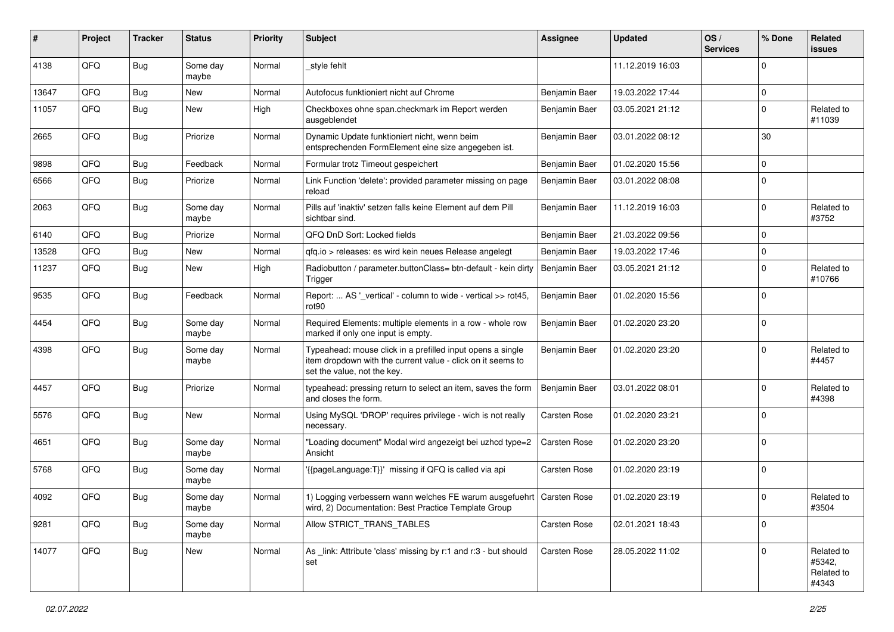| #     | Project | <b>Tracker</b> | <b>Status</b>     | <b>Priority</b> | <b>Subject</b>                                                                                                                                           | <b>Assignee</b> | <b>Updated</b>   | OS/<br><b>Services</b> | % Done      | Related<br>issues                           |
|-------|---------|----------------|-------------------|-----------------|----------------------------------------------------------------------------------------------------------------------------------------------------------|-----------------|------------------|------------------------|-------------|---------------------------------------------|
| 4138  | QFQ     | <b>Bug</b>     | Some day<br>maybe | Normal          | style fehlt                                                                                                                                              |                 | 11.12.2019 16:03 |                        | $\Omega$    |                                             |
| 13647 | QFQ     | <b>Bug</b>     | New               | Normal          | Autofocus funktioniert nicht auf Chrome                                                                                                                  | Benjamin Baer   | 19.03.2022 17:44 |                        | $\mathbf 0$ |                                             |
| 11057 | QFQ     | Bug            | <b>New</b>        | High            | Checkboxes ohne span.checkmark im Report werden<br>ausgeblendet                                                                                          | Benjamin Baer   | 03.05.2021 21:12 |                        | $\Omega$    | Related to<br>#11039                        |
| 2665  | QFQ     | Bug            | Priorize          | Normal          | Dynamic Update funktioniert nicht, wenn beim<br>entsprechenden FormElement eine size angegeben ist.                                                      | Benjamin Baer   | 03.01.2022 08:12 |                        | 30          |                                             |
| 9898  | QFQ     | <b>Bug</b>     | Feedback          | Normal          | Formular trotz Timeout gespeichert                                                                                                                       | Benjamin Baer   | 01.02.2020 15:56 |                        | $\Omega$    |                                             |
| 6566  | QFQ     | Bug            | Priorize          | Normal          | Link Function 'delete': provided parameter missing on page<br>reload                                                                                     | Benjamin Baer   | 03.01.2022 08:08 |                        | $\Omega$    |                                             |
| 2063  | QFQ     | Bug            | Some day<br>maybe | Normal          | Pills auf 'inaktiv' setzen falls keine Element auf dem Pill<br>sichtbar sind.                                                                            | Benjamin Baer   | 11.12.2019 16:03 |                        | $\Omega$    | Related to<br>#3752                         |
| 6140  | QFQ     | Bug            | Priorize          | Normal          | QFQ DnD Sort: Locked fields                                                                                                                              | Benjamin Baer   | 21.03.2022 09:56 |                        | $\mathbf 0$ |                                             |
| 13528 | QFQ     | <b>Bug</b>     | <b>New</b>        | Normal          | gfg.io > releases: es wird kein neues Release angelegt                                                                                                   | Benjamin Baer   | 19.03.2022 17:46 |                        | $\mathbf 0$ |                                             |
| 11237 | QFQ     | Bug            | New               | High            | Radiobutton / parameter.buttonClass= btn-default - kein dirty<br>Trigger                                                                                 | Benjamin Baer   | 03.05.2021 21:12 |                        | $\Omega$    | Related to<br>#10766                        |
| 9535  | QFQ     | Bug            | Feedback          | Normal          | Report:  AS '_vertical' - column to wide - vertical >> rot45,<br>rot90                                                                                   | Benjamin Baer   | 01.02.2020 15:56 |                        | $\Omega$    |                                             |
| 4454  | QFQ     | Bug            | Some day<br>maybe | Normal          | Required Elements: multiple elements in a row - whole row<br>marked if only one input is empty.                                                          | Benjamin Baer   | 01.02.2020 23:20 |                        | $\Omega$    |                                             |
| 4398  | QFQ     | <b>Bug</b>     | Some day<br>maybe | Normal          | Typeahead: mouse click in a prefilled input opens a single<br>item dropdown with the current value - click on it seems to<br>set the value, not the key. | Benjamin Baer   | 01.02.2020 23:20 |                        | $\Omega$    | Related to<br>#4457                         |
| 4457  | QFQ     | Bug            | Priorize          | Normal          | typeahead: pressing return to select an item, saves the form<br>and closes the form.                                                                     | Benjamin Baer   | 03.01.2022 08:01 |                        | $\Omega$    | Related to<br>#4398                         |
| 5576  | QFQ     | <b>Bug</b>     | <b>New</b>        | Normal          | Using MySQL 'DROP' requires privilege - wich is not really<br>necessary.                                                                                 | Carsten Rose    | 01.02.2020 23:21 |                        | $\Omega$    |                                             |
| 4651  | QFQ     | <b>Bug</b>     | Some day<br>maybe | Normal          | "Loading document" Modal wird angezeigt bei uzhcd type=2<br>Ansicht                                                                                      | Carsten Rose    | 01.02.2020 23:20 |                        | $\Omega$    |                                             |
| 5768  | QFQ     | Bug            | Some day<br>maybe | Normal          | '{{pageLanguage:T}}' missing if QFQ is called via api                                                                                                    | Carsten Rose    | 01.02.2020 23:19 |                        | $\Omega$    |                                             |
| 4092  | QFQ     | Bug            | Some day<br>maybe | Normal          | 1) Logging verbessern wann welches FE warum ausgefuehrt   Carsten Rose<br>wird, 2) Documentation: Best Practice Template Group                           |                 | 01.02.2020 23:19 |                        | 0           | Related to<br>#3504                         |
| 9281  | QFQ     | <b>Bug</b>     | Some day<br>maybe | Normal          | Allow STRICT_TRANS_TABLES                                                                                                                                | Carsten Rose    | 02.01.2021 18:43 |                        | 0           |                                             |
| 14077 | QFQ     | <b>Bug</b>     | New               | Normal          | As link: Attribute 'class' missing by r:1 and r:3 - but should<br>set                                                                                    | Carsten Rose    | 28.05.2022 11:02 |                        | $\Omega$    | Related to<br>#5342,<br>Related to<br>#4343 |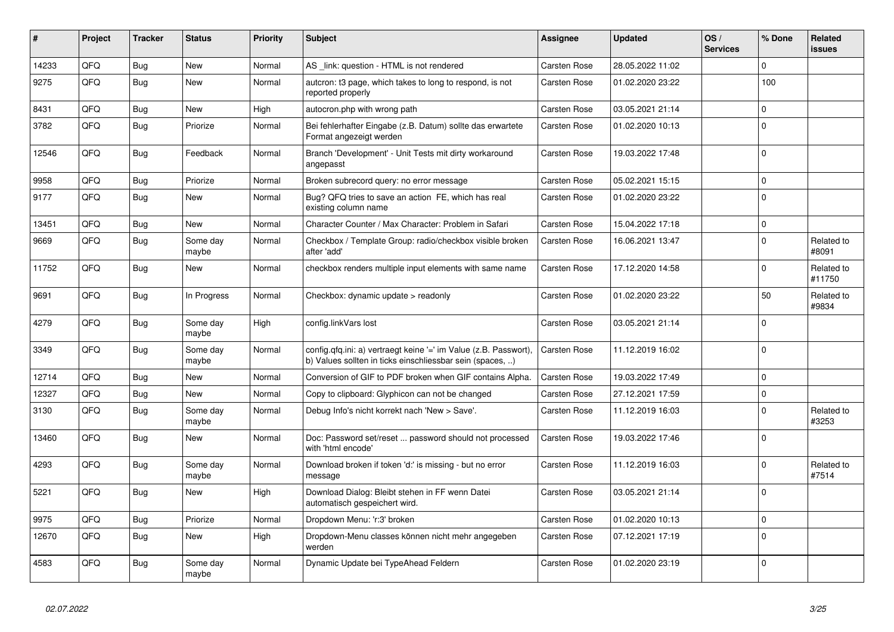| ∦     | <b>Project</b> | <b>Tracker</b> | <b>Status</b>     | <b>Priority</b> | <b>Subject</b>                                                                                                                | Assignee            | <b>Updated</b>   | OS/<br><b>Services</b> | % Done       | Related<br><b>issues</b> |
|-------|----------------|----------------|-------------------|-----------------|-------------------------------------------------------------------------------------------------------------------------------|---------------------|------------------|------------------------|--------------|--------------------------|
| 14233 | QFQ            | Bug            | <b>New</b>        | Normal          | AS _link: question - HTML is not rendered                                                                                     | Carsten Rose        | 28.05.2022 11:02 |                        | $\Omega$     |                          |
| 9275  | QFQ            | Bug            | <b>New</b>        | Normal          | autcron: t3 page, which takes to long to respond, is not<br>reported properly                                                 | <b>Carsten Rose</b> | 01.02.2020 23:22 |                        | 100          |                          |
| 8431  | QFQ            | <b>Bug</b>     | <b>New</b>        | High            | autocron.php with wrong path                                                                                                  | Carsten Rose        | 03.05.2021 21:14 |                        | $\mathbf 0$  |                          |
| 3782  | QFQ            | Bug            | Priorize          | Normal          | Bei fehlerhafter Eingabe (z.B. Datum) sollte das erwartete<br>Format angezeigt werden                                         | Carsten Rose        | 01.02.2020 10:13 |                        | $\Omega$     |                          |
| 12546 | QFQ            | Bug            | Feedback          | Normal          | Branch 'Development' - Unit Tests mit dirty workaround<br>angepasst                                                           | Carsten Rose        | 19.03.2022 17:48 |                        | $\Omega$     |                          |
| 9958  | QFQ            | <b>Bug</b>     | Priorize          | Normal          | Broken subrecord query: no error message                                                                                      | Carsten Rose        | 05.02.2021 15:15 |                        | $\mathbf{0}$ |                          |
| 9177  | QFQ            | <b>Bug</b>     | New               | Normal          | Bug? QFQ tries to save an action FE, which has real<br>existing column name                                                   | Carsten Rose        | 01.02.2020 23:22 |                        | $\Omega$     |                          |
| 13451 | QFQ            | <b>Bug</b>     | <b>New</b>        | Normal          | Character Counter / Max Character: Problem in Safari                                                                          | Carsten Rose        | 15.04.2022 17:18 |                        | $\mathbf 0$  |                          |
| 9669  | QFQ            | Bug            | Some day<br>maybe | Normal          | Checkbox / Template Group: radio/checkbox visible broken<br>after 'add'                                                       | Carsten Rose        | 16.06.2021 13:47 |                        | $\Omega$     | Related to<br>#8091      |
| 11752 | QFQ            | Bug            | <b>New</b>        | Normal          | checkbox renders multiple input elements with same name                                                                       | Carsten Rose        | 17.12.2020 14:58 |                        | $\Omega$     | Related to<br>#11750     |
| 9691  | QFQ            | <b>Bug</b>     | In Progress       | Normal          | Checkbox: dynamic update > readonly                                                                                           | Carsten Rose        | 01.02.2020 23:22 |                        | 50           | Related to<br>#9834      |
| 4279  | QFQ            | <b>Bug</b>     | Some day<br>maybe | High            | config.linkVars lost                                                                                                          | Carsten Rose        | 03.05.2021 21:14 |                        | $\Omega$     |                          |
| 3349  | QFQ            | <b>Bug</b>     | Some day<br>maybe | Normal          | config.qfq.ini: a) vertraegt keine '=' im Value (z.B. Passwort),<br>b) Values sollten in ticks einschliessbar sein (spaces, ) | Carsten Rose        | 11.12.2019 16:02 |                        | $\Omega$     |                          |
| 12714 | QFQ            | Bug            | <b>New</b>        | Normal          | Conversion of GIF to PDF broken when GIF contains Alpha.                                                                      | Carsten Rose        | 19.03.2022 17:49 |                        | $\Omega$     |                          |
| 12327 | QFQ            | <b>Bug</b>     | <b>New</b>        | Normal          | Copy to clipboard: Glyphicon can not be changed                                                                               | Carsten Rose        | 27.12.2021 17:59 |                        | $\mathbf 0$  |                          |
| 3130  | QFQ            | <b>Bug</b>     | Some day<br>maybe | Normal          | Debug Info's nicht korrekt nach 'New > Save'.                                                                                 | Carsten Rose        | 11.12.2019 16:03 |                        | $\Omega$     | Related to<br>#3253      |
| 13460 | QFQ            | Bug            | <b>New</b>        | Normal          | Doc: Password set/reset  password should not processed<br>with 'html encode'                                                  | Carsten Rose        | 19.03.2022 17:46 |                        | $\Omega$     |                          |
| 4293  | QFQ            | Bug            | Some day<br>maybe | Normal          | Download broken if token 'd:' is missing - but no error<br>message                                                            | Carsten Rose        | 11.12.2019 16:03 |                        | $\Omega$     | Related to<br>#7514      |
| 5221  | QFQ            | Bug            | <b>New</b>        | High            | Download Dialog: Bleibt stehen in FF wenn Datei<br>automatisch gespeichert wird.                                              | Carsten Rose        | 03.05.2021 21:14 |                        | $\Omega$     |                          |
| 9975  | QFQ            | <b>Bug</b>     | Priorize          | Normal          | Dropdown Menu: 'r:3' broken                                                                                                   | Carsten Rose        | 01.02.2020 10:13 |                        | $\Omega$     |                          |
| 12670 | QFQ            | <b>Bug</b>     | <b>New</b>        | High            | Dropdown-Menu classes können nicht mehr angegeben<br>werden                                                                   | Carsten Rose        | 07.12.2021 17:19 |                        | $\Omega$     |                          |
| 4583  | QFQ            | Bug            | Some day<br>maybe | Normal          | Dynamic Update bei TypeAhead Feldern                                                                                          | Carsten Rose        | 01.02.2020 23:19 |                        | $\Omega$     |                          |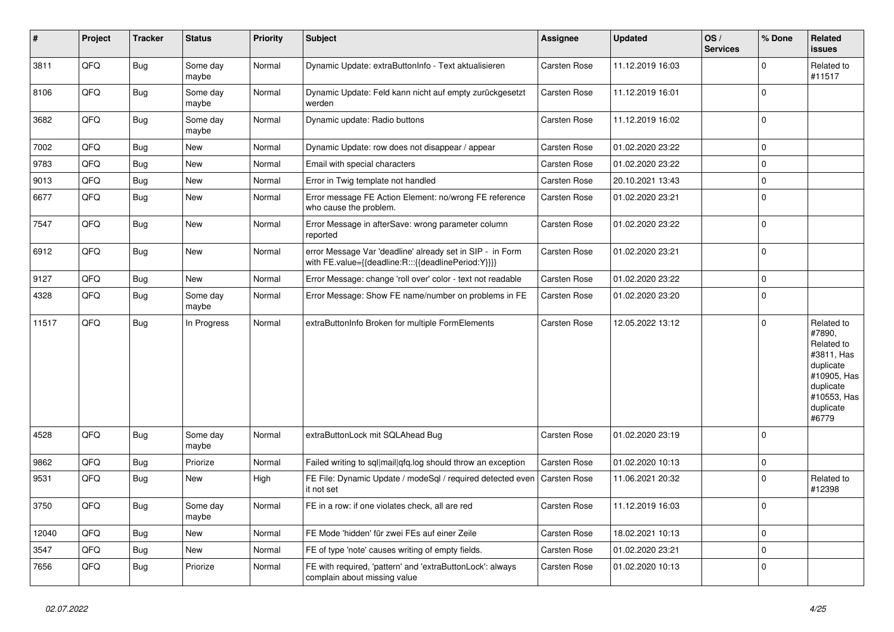| $\vert$ # | Project | <b>Tracker</b> | <b>Status</b>     | <b>Priority</b> | <b>Subject</b>                                                                                                   | <b>Assignee</b>     | <b>Updated</b>   | OS/<br><b>Services</b> | % Done       | Related<br><b>issues</b>                                                                                                       |
|-----------|---------|----------------|-------------------|-----------------|------------------------------------------------------------------------------------------------------------------|---------------------|------------------|------------------------|--------------|--------------------------------------------------------------------------------------------------------------------------------|
| 3811      | QFQ     | <b>Bug</b>     | Some day<br>maybe | Normal          | Dynamic Update: extraButtonInfo - Text aktualisieren                                                             | <b>Carsten Rose</b> | 11.12.2019 16:03 |                        | $\mathbf 0$  | Related to<br>#11517                                                                                                           |
| 8106      | QFQ     | <b>Bug</b>     | Some day<br>maybe | Normal          | Dynamic Update: Feld kann nicht auf empty zurückgesetzt<br>werden                                                | <b>Carsten Rose</b> | 11.12.2019 16:01 |                        | $\mathbf 0$  |                                                                                                                                |
| 3682      | QFQ     | Bug            | Some day<br>maybe | Normal          | Dynamic update: Radio buttons                                                                                    | <b>Carsten Rose</b> | 11.12.2019 16:02 |                        | $\Omega$     |                                                                                                                                |
| 7002      | QFQ     | Bug            | <b>New</b>        | Normal          | Dynamic Update: row does not disappear / appear                                                                  | Carsten Rose        | 01.02.2020 23:22 |                        | $\mathbf 0$  |                                                                                                                                |
| 9783      | QFQ     | Bug            | New               | Normal          | Email with special characters                                                                                    | Carsten Rose        | 01.02.2020 23:22 |                        | $\mathbf 0$  |                                                                                                                                |
| 9013      | QFQ     | <b>Bug</b>     | <b>New</b>        | Normal          | Error in Twig template not handled                                                                               | Carsten Rose        | 20.10.2021 13:43 |                        | $\mathbf 0$  |                                                                                                                                |
| 6677      | QFQ     | Bug            | New               | Normal          | Error message FE Action Element: no/wrong FE reference<br>who cause the problem.                                 | <b>Carsten Rose</b> | 01.02.2020 23:21 |                        | $\mathbf 0$  |                                                                                                                                |
| 7547      | QFQ     | Bug            | <b>New</b>        | Normal          | Error Message in afterSave: wrong parameter column<br>reported                                                   | <b>Carsten Rose</b> | 01.02.2020 23:22 |                        | $\mathbf 0$  |                                                                                                                                |
| 6912      | QFQ     | <b>Bug</b>     | <b>New</b>        | Normal          | error Message Var 'deadline' already set in SIP - in Form<br>with FE.value={{deadline:R:::{{deadlinePeriod:Y}}}} | Carsten Rose        | 01.02.2020 23:21 |                        | $\mathbf 0$  |                                                                                                                                |
| 9127      | QFQ     | <b>Bug</b>     | <b>New</b>        | Normal          | Error Message: change 'roll over' color - text not readable                                                      | <b>Carsten Rose</b> | 01.02.2020 23:22 |                        | $\pmb{0}$    |                                                                                                                                |
| 4328      | QFQ     | <b>Bug</b>     | Some day<br>maybe | Normal          | Error Message: Show FE name/number on problems in FE                                                             | <b>Carsten Rose</b> | 01.02.2020 23:20 |                        | $\mathbf 0$  |                                                                                                                                |
| 11517     | QFQ     | Bug            | In Progress       | Normal          | extraButtonInfo Broken for multiple FormElements                                                                 | Carsten Rose        | 12.05.2022 13:12 |                        | $\Omega$     | Related to<br>#7890,<br>Related to<br>#3811, Has<br>duplicate<br>#10905, Has<br>duplicate<br>#10553, Has<br>duplicate<br>#6779 |
| 4528      | QFQ     | <b>Bug</b>     | Some day<br>maybe | Normal          | extraButtonLock mit SQLAhead Bug                                                                                 | <b>Carsten Rose</b> | 01.02.2020 23:19 |                        | $\mathbf 0$  |                                                                                                                                |
| 9862      | QFQ     | <b>Bug</b>     | Priorize          | Normal          | Failed writing to sql mail qfq.log should throw an exception                                                     | Carsten Rose        | 01.02.2020 10:13 |                        | $\mathbf 0$  |                                                                                                                                |
| 9531      | QFQ     | Bug            | New               | High            | FE File: Dynamic Update / modeSql / required detected even<br>it not set                                         | <b>Carsten Rose</b> | 11.06.2021 20:32 |                        | $\mathbf 0$  | Related to<br>#12398                                                                                                           |
| 3750      | QFQ     | Bug            | Some day<br>maybe | Normal          | FE in a row: if one violates check, all are red                                                                  | <b>Carsten Rose</b> | 11.12.2019 16:03 |                        | $\Omega$     |                                                                                                                                |
| 12040     | QFQ     | Bug            | <b>New</b>        | Normal          | FE Mode 'hidden' für zwei FEs auf einer Zeile                                                                    | <b>Carsten Rose</b> | 18.02.2021 10:13 |                        | $\mathbf 0$  |                                                                                                                                |
| 3547      | QFQ     | Bug            | New               | Normal          | FE of type 'note' causes writing of empty fields.                                                                | <b>Carsten Rose</b> | 01.02.2020 23:21 |                        | $\mathbf{0}$ |                                                                                                                                |
| 7656      | QFQ     | Bug            | Priorize          | Normal          | FE with required, 'pattern' and 'extraButtonLock': always<br>complain about missing value                        | <b>Carsten Rose</b> | 01.02.2020 10:13 |                        | $\mathbf 0$  |                                                                                                                                |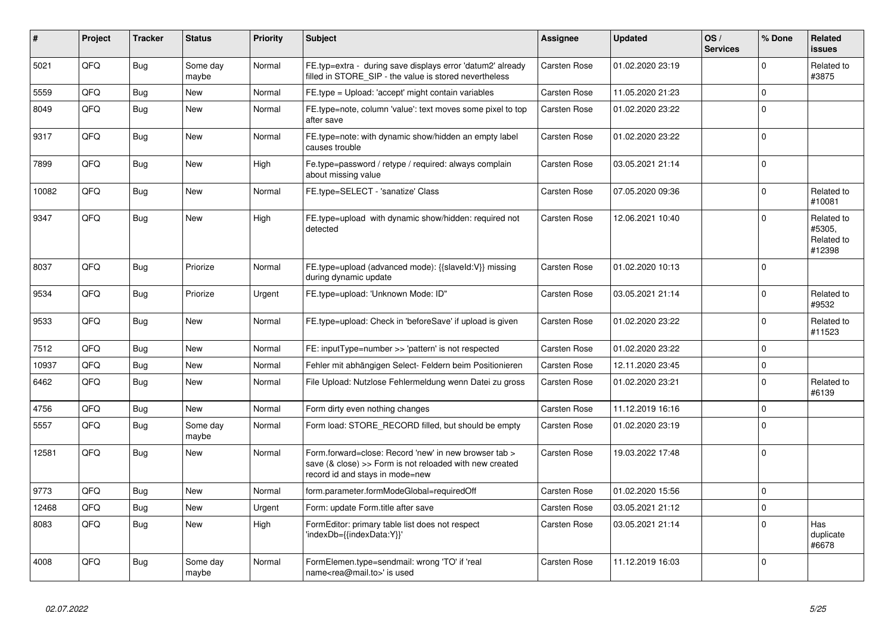| #     | Project | <b>Tracker</b> | <b>Status</b>     | <b>Priority</b> | <b>Subject</b>                                                                                                                                      | Assignee     | <b>Updated</b>   | OS/<br><b>Services</b> | % Done      | Related<br><b>issues</b>                     |
|-------|---------|----------------|-------------------|-----------------|-----------------------------------------------------------------------------------------------------------------------------------------------------|--------------|------------------|------------------------|-------------|----------------------------------------------|
| 5021  | QFQ     | <b>Bug</b>     | Some day<br>maybe | Normal          | FE.typ=extra - during save displays error 'datum2' already<br>filled in STORE SIP - the value is stored nevertheless                                | Carsten Rose | 01.02.2020 23:19 |                        | $\mathbf 0$ | Related to<br>#3875                          |
| 5559  | QFQ     | Bug            | New               | Normal          | FE.type = Upload: 'accept' might contain variables                                                                                                  | Carsten Rose | 11.05.2020 21:23 |                        | $\pmb{0}$   |                                              |
| 8049  | QFQ     | Bug            | <b>New</b>        | Normal          | FE.type=note, column 'value': text moves some pixel to top<br>after save                                                                            | Carsten Rose | 01.02.2020 23:22 |                        | $\mathbf 0$ |                                              |
| 9317  | QFQ     | Bug            | <b>New</b>        | Normal          | FE.type=note: with dynamic show/hidden an empty label<br>causes trouble                                                                             | Carsten Rose | 01.02.2020 23:22 |                        | $\mathbf 0$ |                                              |
| 7899  | QFQ     | <b>Bug</b>     | <b>New</b>        | High            | Fe.type=password / retype / required: always complain<br>about missing value                                                                        | Carsten Rose | 03.05.2021 21:14 |                        | $\mathbf 0$ |                                              |
| 10082 | QFQ     | <b>Bug</b>     | <b>New</b>        | Normal          | FE.type=SELECT - 'sanatize' Class                                                                                                                   | Carsten Rose | 07.05.2020 09:36 |                        | $\Omega$    | Related to<br>#10081                         |
| 9347  | QFQ     | Bug            | New               | High            | FE.type=upload with dynamic show/hidden: required not<br>detected                                                                                   | Carsten Rose | 12.06.2021 10:40 |                        | $\mathbf 0$ | Related to<br>#5305,<br>Related to<br>#12398 |
| 8037  | QFQ     | Bug            | Priorize          | Normal          | FE.type=upload (advanced mode): {{slaveld:V}} missing<br>during dynamic update                                                                      | Carsten Rose | 01.02.2020 10:13 |                        | $\Omega$    |                                              |
| 9534  | QFQ     | Bug            | Priorize          | Urgent          | FE.type=upload: 'Unknown Mode: ID"                                                                                                                  | Carsten Rose | 03.05.2021 21:14 |                        | $\mathbf 0$ | Related to<br>#9532                          |
| 9533  | QFQ     | Bug            | <b>New</b>        | Normal          | FE.type=upload: Check in 'beforeSave' if upload is given                                                                                            | Carsten Rose | 01.02.2020 23:22 |                        | $\mathbf 0$ | Related to<br>#11523                         |
| 7512  | QFQ     | <b>Bug</b>     | New               | Normal          | FE: inputType=number >> 'pattern' is not respected                                                                                                  | Carsten Rose | 01.02.2020 23:22 |                        | $\pmb{0}$   |                                              |
| 10937 | QFQ     | Bug            | <b>New</b>        | Normal          | Fehler mit abhängigen Select- Feldern beim Positionieren                                                                                            | Carsten Rose | 12.11.2020 23:45 |                        | $\mathbf 0$ |                                              |
| 6462  | QFQ     | Bug            | <b>New</b>        | Normal          | File Upload: Nutzlose Fehlermeldung wenn Datei zu gross                                                                                             | Carsten Rose | 01.02.2020 23:21 |                        | $\mathbf 0$ | Related to<br>#6139                          |
| 4756  | QFQ     | Bug            | New               | Normal          | Form dirty even nothing changes                                                                                                                     | Carsten Rose | 11.12.2019 16:16 |                        | $\mathbf 0$ |                                              |
| 5557  | QFQ     | Bug            | Some day<br>maybe | Normal          | Form load: STORE RECORD filled, but should be empty                                                                                                 | Carsten Rose | 01.02.2020 23:19 |                        | $\mathbf 0$ |                                              |
| 12581 | QFQ     | <b>Bug</b>     | <b>New</b>        | Normal          | Form.forward=close: Record 'new' in new browser tab ><br>save (& close) >> Form is not reloaded with new created<br>record id and stays in mode=new | Carsten Rose | 19.03.2022 17:48 |                        | $\Omega$    |                                              |
| 9773  | QFQ     | Bug            | <b>New</b>        | Normal          | form.parameter.formModeGlobal=requiredOff                                                                                                           | Carsten Rose | 01.02.2020 15:56 |                        | $\mathbf 0$ |                                              |
| 12468 | QFQ     | Bug            | <b>New</b>        | Urgent          | Form: update Form.title after save                                                                                                                  | Carsten Rose | 03.05.2021 21:12 |                        | $\mathbf 0$ |                                              |
| 8083  | QFQ     | Bug            | <b>New</b>        | High            | FormEditor: primary table list does not respect<br>'indexDb={{indexData:Y}}'                                                                        | Carsten Rose | 03.05.2021 21:14 |                        | $\mathbf 0$ | Has<br>duplicate<br>#6678                    |
| 4008  | QFQ     | Bug            | Some day<br>maybe | Normal          | FormElemen.type=sendmail: wrong 'TO' if 'real<br>name <rea@mail.to>' is used</rea@mail.to>                                                          | Carsten Rose | 11.12.2019 16:03 |                        | $\mathbf 0$ |                                              |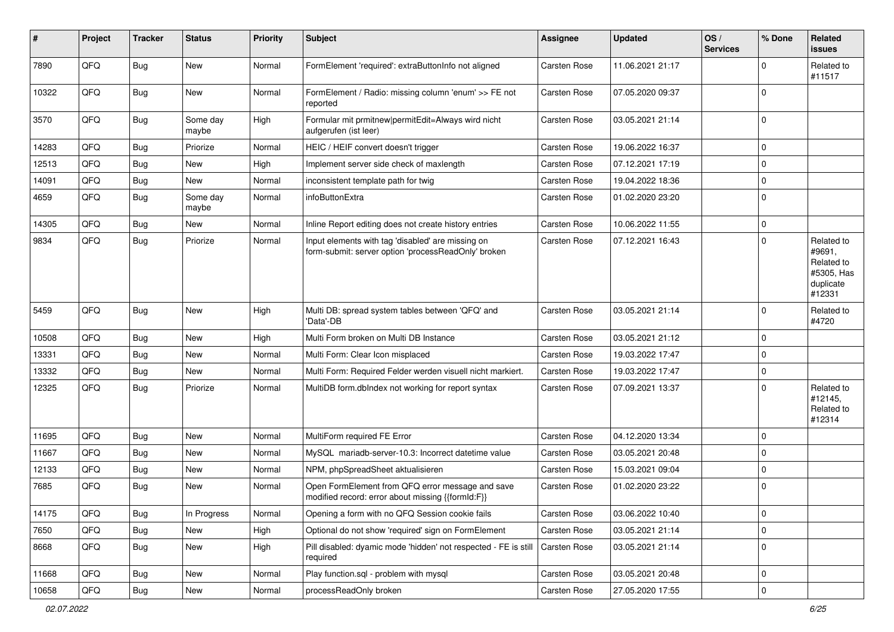| #     | Project | <b>Tracker</b> | <b>Status</b>     | <b>Priority</b> | <b>Subject</b>                                                                                           | <b>Assignee</b> | <b>Updated</b>   | OS/<br><b>Services</b> | % Done      | Related<br>issues                                                       |
|-------|---------|----------------|-------------------|-----------------|----------------------------------------------------------------------------------------------------------|-----------------|------------------|------------------------|-------------|-------------------------------------------------------------------------|
| 7890  | QFQ     | Bug            | <b>New</b>        | Normal          | FormElement 'required': extraButtonInfo not aligned                                                      | Carsten Rose    | 11.06.2021 21:17 |                        | $\Omega$    | Related to<br>#11517                                                    |
| 10322 | QFQ     | Bug            | New               | Normal          | FormElement / Radio: missing column 'enum' >> FE not<br>reported                                         | Carsten Rose    | 07.05.2020 09:37 |                        | $\Omega$    |                                                                         |
| 3570  | QFQ     | <b>Bug</b>     | Some day<br>maybe | High            | Formular mit prmitnew permitEdit=Always wird nicht<br>aufgerufen (ist leer)                              | Carsten Rose    | 03.05.2021 21:14 |                        | $\Omega$    |                                                                         |
| 14283 | QFQ     | Bug            | Priorize          | Normal          | HEIC / HEIF convert doesn't trigger                                                                      | Carsten Rose    | 19.06.2022 16:37 |                        | $\mathbf 0$ |                                                                         |
| 12513 | QFQ     | Bug            | New               | High            | Implement server side check of maxlength                                                                 | Carsten Rose    | 07.12.2021 17:19 |                        | $\Omega$    |                                                                         |
| 14091 | QFQ     | <b>Bug</b>     | New               | Normal          | inconsistent template path for twig                                                                      | Carsten Rose    | 19.04.2022 18:36 |                        | $\Omega$    |                                                                         |
| 4659  | QFQ     | Bug            | Some day<br>maybe | Normal          | infoButtonExtra                                                                                          | Carsten Rose    | 01.02.2020 23:20 |                        | $\Omega$    |                                                                         |
| 14305 | QFQ     | Bug            | <b>New</b>        | Normal          | Inline Report editing does not create history entries                                                    | Carsten Rose    | 10.06.2022 11:55 |                        | $\mathbf 0$ |                                                                         |
| 9834  | QFQ     | <b>Bug</b>     | Priorize          | Normal          | Input elements with tag 'disabled' are missing on<br>form-submit: server option 'processReadOnly' broken | Carsten Rose    | 07.12.2021 16:43 |                        | $\Omega$    | Related to<br>#9691,<br>Related to<br>#5305, Has<br>duplicate<br>#12331 |
| 5459  | QFQ     | Bug            | <b>New</b>        | High            | Multi DB: spread system tables between 'QFQ' and<br>'Data'-DB                                            | Carsten Rose    | 03.05.2021 21:14 |                        | $\Omega$    | Related to<br>#4720                                                     |
| 10508 | QFQ     | Bug            | New               | High            | Multi Form broken on Multi DB Instance                                                                   | Carsten Rose    | 03.05.2021 21:12 |                        | $\mathbf 0$ |                                                                         |
| 13331 | QFQ     | Bug            | New               | Normal          | Multi Form: Clear Icon misplaced                                                                         | Carsten Rose    | 19.03.2022 17:47 |                        | $\Omega$    |                                                                         |
| 13332 | QFQ     | Bug            | New               | Normal          | Multi Form: Required Felder werden visuell nicht markiert.                                               | Carsten Rose    | 19.03.2022 17:47 |                        | $\mathbf 0$ |                                                                         |
| 12325 | QFQ     | Bug            | Priorize          | Normal          | MultiDB form.dblndex not working for report syntax                                                       | Carsten Rose    | 07.09.2021 13:37 |                        | $\Omega$    | Related to<br>#12145,<br>Related to<br>#12314                           |
| 11695 | QFQ     | Bug            | <b>New</b>        | Normal          | MultiForm required FE Error                                                                              | Carsten Rose    | 04.12.2020 13:34 |                        | $\Omega$    |                                                                         |
| 11667 | QFQ     | <b>Bug</b>     | New               | Normal          | MySQL mariadb-server-10.3: Incorrect datetime value                                                      | Carsten Rose    | 03.05.2021 20:48 |                        | $\Omega$    |                                                                         |
| 12133 | QFQ     | Bug            | New               | Normal          | NPM, phpSpreadSheet aktualisieren                                                                        | Carsten Rose    | 15.03.2021 09:04 |                        | $\Omega$    |                                                                         |
| 7685  | QFQ     | Bug            | New               | Normal          | Open FormElement from QFQ error message and save<br>modified record: error about missing {{formId:F}}    | Carsten Rose    | 01.02.2020 23:22 |                        | l 0         |                                                                         |
| 14175 | QFQ     | <b>Bug</b>     | In Progress       | Normal          | Opening a form with no QFQ Session cookie fails                                                          | Carsten Rose    | 03.06.2022 10:40 |                        | 0           |                                                                         |
| 7650  | QFQ     | Bug            | <b>New</b>        | High            | Optional do not show 'required' sign on FormElement                                                      | Carsten Rose    | 03.05.2021 21:14 |                        | 0           |                                                                         |
| 8668  | QFQ     | <b>Bug</b>     | New               | High            | Pill disabled: dyamic mode 'hidden' not respected - FE is still<br>required                              | Carsten Rose    | 03.05.2021 21:14 |                        | $\mathbf 0$ |                                                                         |
| 11668 | QFQ     | <b>Bug</b>     | New               | Normal          | Play function.sql - problem with mysql                                                                   | Carsten Rose    | 03.05.2021 20:48 |                        | 0           |                                                                         |
| 10658 | QFQ     | Bug            | New               | Normal          | processReadOnly broken                                                                                   | Carsten Rose    | 27.05.2020 17:55 |                        | $\mathbf 0$ |                                                                         |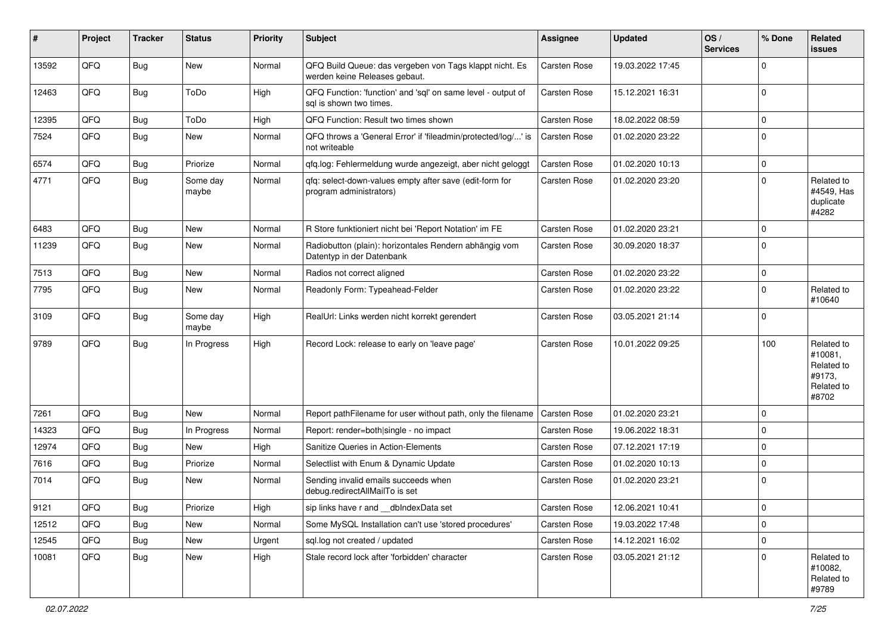| #     | Project | <b>Tracker</b> | <b>Status</b>     | <b>Priority</b> | Subject                                                                                  | <b>Assignee</b> | <b>Updated</b>   | OS/<br><b>Services</b> | % Done       | Related<br>issues                                                    |
|-------|---------|----------------|-------------------|-----------------|------------------------------------------------------------------------------------------|-----------------|------------------|------------------------|--------------|----------------------------------------------------------------------|
| 13592 | QFQ     | <b>Bug</b>     | New               | Normal          | QFQ Build Queue: das vergeben von Tags klappt nicht. Es<br>werden keine Releases gebaut. | Carsten Rose    | 19.03.2022 17:45 |                        | $\mathbf 0$  |                                                                      |
| 12463 | QFQ     | Bug            | ToDo              | High            | QFQ Function: 'function' and 'sql' on same level - output of<br>sql is shown two times.  | Carsten Rose    | 15.12.2021 16:31 |                        | $\mathbf 0$  |                                                                      |
| 12395 | QFQ     | Bug            | ToDo              | High            | QFQ Function: Result two times shown                                                     | Carsten Rose    | 18.02.2022 08:59 |                        | $\mathbf 0$  |                                                                      |
| 7524  | QFQ     | Bug            | New               | Normal          | QFQ throws a 'General Error' if 'fileadmin/protected/log/' is<br>not writeable           | Carsten Rose    | 01.02.2020 23:22 |                        | $\mathbf 0$  |                                                                      |
| 6574  | QFQ     | Bug            | Priorize          | Normal          | qfq.log: Fehlermeldung wurde angezeigt, aber nicht geloggt                               | Carsten Rose    | 01.02.2020 10:13 |                        | $\mathbf 0$  |                                                                      |
| 4771  | QFQ     | <b>Bug</b>     | Some day<br>maybe | Normal          | qfq: select-down-values empty after save (edit-form for<br>program administrators)       | Carsten Rose    | 01.02.2020 23:20 |                        | $\mathbf 0$  | Related to<br>#4549, Has<br>duplicate<br>#4282                       |
| 6483  | QFQ     | Bug            | <b>New</b>        | Normal          | R Store funktioniert nicht bei 'Report Notation' im FE                                   | Carsten Rose    | 01.02.2020 23:21 |                        | $\mathbf 0$  |                                                                      |
| 11239 | QFQ     | Bug            | <b>New</b>        | Normal          | Radiobutton (plain): horizontales Rendern abhängig vom<br>Datentyp in der Datenbank      | Carsten Rose    | 30.09.2020 18:37 |                        | $\mathbf 0$  |                                                                      |
| 7513  | QFQ     | Bug            | New               | Normal          | Radios not correct aligned                                                               | Carsten Rose    | 01.02.2020 23:22 |                        | $\mathbf 0$  |                                                                      |
| 7795  | QFQ     | Bug            | <b>New</b>        | Normal          | Readonly Form: Typeahead-Felder                                                          | Carsten Rose    | 01.02.2020 23:22 |                        | $\mathbf 0$  | Related to<br>#10640                                                 |
| 3109  | QFQ     | <b>Bug</b>     | Some day<br>maybe | High            | RealUrl: Links werden nicht korrekt gerendert                                            | Carsten Rose    | 03.05.2021 21:14 |                        | $\mathbf 0$  |                                                                      |
| 9789  | QFQ     | Bug            | In Progress       | High            | Record Lock: release to early on 'leave page'                                            | Carsten Rose    | 10.01.2022 09:25 |                        | 100          | Related to<br>#10081,<br>Related to<br>#9173,<br>Related to<br>#8702 |
| 7261  | QFQ     | Bug            | New               | Normal          | Report pathFilename for user without path, only the filename                             | Carsten Rose    | 01.02.2020 23:21 |                        | $\mathbf 0$  |                                                                      |
| 14323 | QFQ     | Bug            | In Progress       | Normal          | Report: render=both single - no impact                                                   | Carsten Rose    | 19.06.2022 18:31 |                        | $\mathbf 0$  |                                                                      |
| 12974 | QFQ     | Bug            | New               | High            | Sanitize Queries in Action-Elements                                                      | Carsten Rose    | 07.12.2021 17:19 |                        | $\pmb{0}$    |                                                                      |
| 7616  | QFQ     | Bug            | Priorize          | Normal          | Selectlist with Enum & Dynamic Update                                                    | Carsten Rose    | 01.02.2020 10:13 |                        | $\mathbf 0$  |                                                                      |
| 7014  | QFQ     | Bug            | New               | Normal          | Sending invalid emails succeeds when<br>debug.redirectAllMailTo is set                   | Carsten Rose    | 01.02.2020 23:21 |                        | $\mathbf 0$  |                                                                      |
| 9121  | QFQ     | Bug            | Priorize          | High            | sip links have r and __dbIndexData set                                                   | Carsten Rose    | 12.06.2021 10:41 |                        | $\mathsf{U}$ |                                                                      |
| 12512 | QFQ     | <b>Bug</b>     | New               | Normal          | Some MySQL Installation can't use 'stored procedures'                                    | Carsten Rose    | 19.03.2022 17:48 |                        | $\mathbf 0$  |                                                                      |
| 12545 | QFQ     | <b>Bug</b>     | New               | Urgent          | sql.log not created / updated                                                            | Carsten Rose    | 14.12.2021 16:02 |                        | $\mathbf 0$  |                                                                      |
| 10081 | QFQ     | Bug            | New               | High            | Stale record lock after 'forbidden' character                                            | Carsten Rose    | 03.05.2021 21:12 |                        | $\mathbf 0$  | Related to<br>#10082,<br>Related to<br>#9789                         |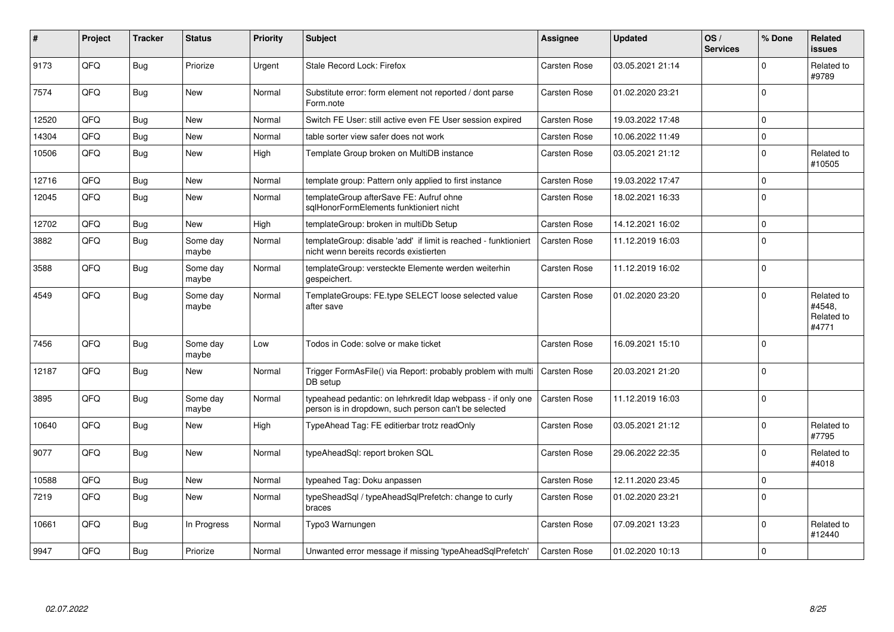| #     | Project | <b>Tracker</b> | <b>Status</b>     | <b>Priority</b> | <b>Subject</b>                                                                                                       | Assignee            | <b>Updated</b>   | OS/<br><b>Services</b> | % Done      | Related<br><b>issues</b>                    |
|-------|---------|----------------|-------------------|-----------------|----------------------------------------------------------------------------------------------------------------------|---------------------|------------------|------------------------|-------------|---------------------------------------------|
| 9173  | QFQ     | Bug            | Priorize          | Urgent          | Stale Record Lock: Firefox                                                                                           | Carsten Rose        | 03.05.2021 21:14 |                        | $\Omega$    | Related to<br>#9789                         |
| 7574  | QFQ     | Bug            | New               | Normal          | Substitute error: form element not reported / dont parse<br>Form.note                                                | Carsten Rose        | 01.02.2020 23:21 |                        | $\Omega$    |                                             |
| 12520 | QFQ     | Bug            | <b>New</b>        | Normal          | Switch FE User: still active even FE User session expired                                                            | Carsten Rose        | 19.03.2022 17:48 |                        | $\mathbf 0$ |                                             |
| 14304 | QFQ     | Bug            | New               | Normal          | table sorter view safer does not work                                                                                | Carsten Rose        | 10.06.2022 11:49 |                        | $\Omega$    |                                             |
| 10506 | QFQ     | Bug            | New               | High            | Template Group broken on MultiDB instance                                                                            | Carsten Rose        | 03.05.2021 21:12 |                        | $\mathbf 0$ | Related to<br>#10505                        |
| 12716 | QFQ     | Bug            | <b>New</b>        | Normal          | template group: Pattern only applied to first instance                                                               | Carsten Rose        | 19.03.2022 17:47 |                        | $\mathbf 0$ |                                             |
| 12045 | QFQ     | Bug            | <b>New</b>        | Normal          | templateGroup afterSave FE: Aufruf ohne<br>sglHonorFormElements funktioniert nicht                                   | <b>Carsten Rose</b> | 18.02.2021 16:33 |                        | $\Omega$    |                                             |
| 12702 | QFQ     | <b>Bug</b>     | New               | High            | templateGroup: broken in multiDb Setup                                                                               | Carsten Rose        | 14.12.2021 16:02 |                        | $\pmb{0}$   |                                             |
| 3882  | QFQ     | Bug            | Some day<br>maybe | Normal          | templateGroup: disable 'add' if limit is reached - funktioniert<br>nicht wenn bereits records existierten            | Carsten Rose        | 11.12.2019 16:03 |                        | $\mathbf 0$ |                                             |
| 3588  | QFQ     | Bug            | Some day<br>maybe | Normal          | templateGroup: versteckte Elemente werden weiterhin<br>gespeichert.                                                  | Carsten Rose        | 11.12.2019 16:02 |                        | $\mathsf 0$ |                                             |
| 4549  | QFQ     | Bug            | Some day<br>maybe | Normal          | TemplateGroups: FE.type SELECT loose selected value<br>after save                                                    | Carsten Rose        | 01.02.2020 23:20 |                        | $\mathbf 0$ | Related to<br>#4548,<br>Related to<br>#4771 |
| 7456  | QFQ     | Bug            | Some day<br>maybe | Low             | Todos in Code: solve or make ticket                                                                                  | Carsten Rose        | 16.09.2021 15:10 |                        | $\mathbf 0$ |                                             |
| 12187 | QFQ     | Bug            | New               | Normal          | Trigger FormAsFile() via Report: probably problem with multi<br>DB setup                                             | Carsten Rose        | 20.03.2021 21:20 |                        | $\mathbf 0$ |                                             |
| 3895  | QFQ     | Bug            | Some day<br>maybe | Normal          | typeahead pedantic: on lehrkredit Idap webpass - if only one<br>person is in dropdown, such person can't be selected | <b>Carsten Rose</b> | 11.12.2019 16:03 |                        | $\mathbf 0$ |                                             |
| 10640 | QFQ     | Bug            | <b>New</b>        | High            | TypeAhead Tag: FE editierbar trotz readOnly                                                                          | Carsten Rose        | 03.05.2021 21:12 |                        | $\mathbf 0$ | Related to<br>#7795                         |
| 9077  | QFQ     | Bug            | <b>New</b>        | Normal          | typeAheadSql: report broken SQL                                                                                      | Carsten Rose        | 29.06.2022 22:35 |                        | $\mathbf 0$ | Related to<br>#4018                         |
| 10588 | QFQ     | Bug            | New               | Normal          | typeahed Tag: Doku anpassen                                                                                          | Carsten Rose        | 12.11.2020 23:45 |                        | $\mathbf 0$ |                                             |
| 7219  | QFQ     | Bug            | <b>New</b>        | Normal          | typeSheadSql / typeAheadSqlPrefetch: change to curly<br>braces                                                       | Carsten Rose        | 01.02.2020 23:21 |                        | $\mathbf 0$ |                                             |
| 10661 | QFQ     | Bug            | In Progress       | Normal          | Typo3 Warnungen                                                                                                      | Carsten Rose        | 07.09.2021 13:23 |                        | $\mathbf 0$ | Related to<br>#12440                        |
| 9947  | QFQ     | Bug            | Priorize          | Normal          | Unwanted error message if missing 'typeAheadSqlPrefetch'                                                             | <b>Carsten Rose</b> | 01.02.2020 10:13 |                        | $\mathbf 0$ |                                             |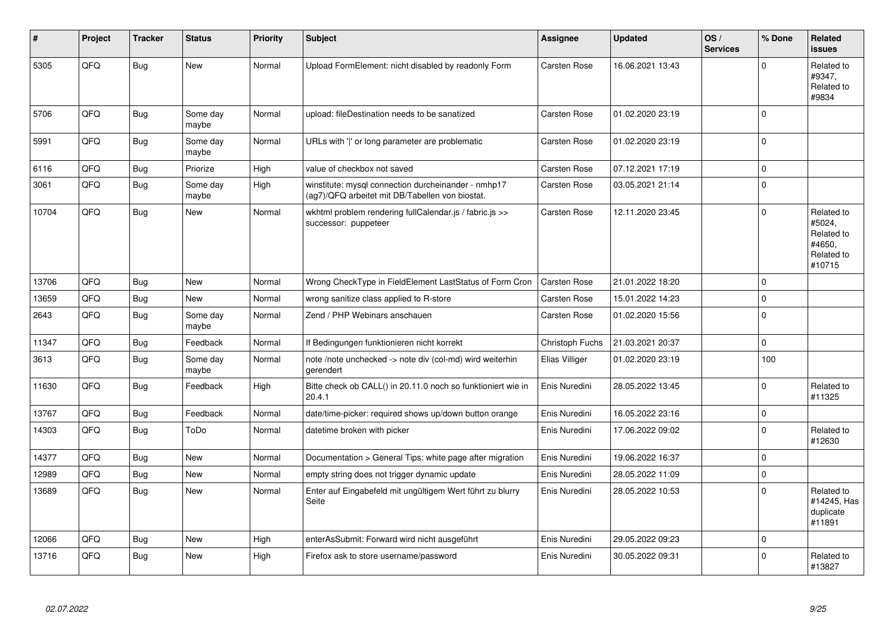| #     | Project | <b>Tracker</b> | <b>Status</b>     | <b>Priority</b> | Subject                                                                                                | Assignee            | <b>Updated</b>   | OS/<br><b>Services</b> | % Done       | Related<br><b>issues</b>                                             |
|-------|---------|----------------|-------------------|-----------------|--------------------------------------------------------------------------------------------------------|---------------------|------------------|------------------------|--------------|----------------------------------------------------------------------|
| 5305  | QFQ     | <b>Bug</b>     | <b>New</b>        | Normal          | Upload FormElement: nicht disabled by readonly Form                                                    | <b>Carsten Rose</b> | 16.06.2021 13:43 |                        | $\Omega$     | Related to<br>#9347,<br>Related to<br>#9834                          |
| 5706  | QFQ     | <b>Bug</b>     | Some day<br>maybe | Normal          | upload: fileDestination needs to be sanatized                                                          | Carsten Rose        | 01.02.2020 23:19 |                        | $\mathbf 0$  |                                                                      |
| 5991  | QFQ     | <b>Bug</b>     | Some day<br>maybe | Normal          | URLs with ' ' or long parameter are problematic                                                        | Carsten Rose        | 01.02.2020 23:19 |                        | $\mathbf 0$  |                                                                      |
| 6116  | QFQ     | <b>Bug</b>     | Priorize          | High            | value of checkbox not saved                                                                            | Carsten Rose        | 07.12.2021 17:19 |                        | $\pmb{0}$    |                                                                      |
| 3061  | QFQ     | <b>Bug</b>     | Some dav<br>maybe | High            | winstitute: mysql connection durcheinander - nmhp17<br>(ag7)/QFQ arbeitet mit DB/Tabellen von biostat. | Carsten Rose        | 03.05.2021 21:14 |                        | $\mathbf 0$  |                                                                      |
| 10704 | QFQ     | <b>Bug</b>     | New               | Normal          | wkhtml problem rendering fullCalendar.js / fabric.js >><br>successor: puppeteer                        | <b>Carsten Rose</b> | 12.11.2020 23:45 |                        | $\mathbf 0$  | Related to<br>#5024,<br>Related to<br>#4650.<br>Related to<br>#10715 |
| 13706 | QFQ     | <b>Bug</b>     | <b>New</b>        | Normal          | Wrong CheckType in FieldElement LastStatus of Form Cron                                                | <b>Carsten Rose</b> | 21.01.2022 18:20 |                        | $\mathbf 0$  |                                                                      |
| 13659 | QFQ     | <b>Bug</b>     | <b>New</b>        | Normal          | wrong sanitize class applied to R-store                                                                | Carsten Rose        | 15.01.2022 14:23 |                        | $\pmb{0}$    |                                                                      |
| 2643  | QFQ     | Bug            | Some day<br>maybe | Normal          | Zend / PHP Webinars anschauen                                                                          | Carsten Rose        | 01.02.2020 15:56 |                        | $\mathbf{0}$ |                                                                      |
| 11347 | QFQ     | <b>Bug</b>     | Feedback          | Normal          | If Bedingungen funktionieren nicht korrekt                                                             | Christoph Fuchs     | 21.03.2021 20:37 |                        | $\mathsf 0$  |                                                                      |
| 3613  | QFQ     | <b>Bug</b>     | Some dav<br>maybe | Normal          | note /note unchecked -> note div (col-md) wird weiterhin<br>gerendert                                  | Elias Villiger      | 01.02.2020 23:19 |                        | 100          |                                                                      |
| 11630 | QFQ     | <b>Bug</b>     | Feedback          | High            | Bitte check ob CALL() in 20.11.0 noch so funktioniert wie in<br>20.4.1                                 | Enis Nuredini       | 28.05.2022 13:45 |                        | $\mathbf 0$  | Related to<br>#11325                                                 |
| 13767 | QFQ     | <b>Bug</b>     | Feedback          | Normal          | date/time-picker: required shows up/down button orange                                                 | Enis Nuredini       | 16.05.2022 23:16 |                        | $\mathbf 0$  |                                                                      |
| 14303 | QFQ     | <b>Bug</b>     | ToDo              | Normal          | datetime broken with picker                                                                            | Enis Nuredini       | 17.06.2022 09:02 |                        | $\mathbf 0$  | Related to<br>#12630                                                 |
| 14377 | QFQ     | Bug            | <b>New</b>        | Normal          | Documentation > General Tips: white page after migration                                               | Enis Nuredini       | 19.06.2022 16:37 |                        | $\mathbf 0$  |                                                                      |
| 12989 | QFQ     | <b>Bug</b>     | <b>New</b>        | Normal          | empty string does not trigger dynamic update                                                           | Enis Nuredini       | 28.05.2022 11:09 |                        | $\mathbf 0$  |                                                                      |
| 13689 | QFQ     | Bug            | New               | Normal          | Enter auf Eingabefeld mit ungültigem Wert führt zu blurry<br>Seite                                     | Enis Nuredini       | 28.05.2022 10:53 |                        | $\mathsf 0$  | Related to<br>#14245, Has<br>duplicate<br>#11891                     |
| 12066 | QFQ     | <b>Bug</b>     | <b>New</b>        | High            | enterAsSubmit: Forward wird nicht ausgeführt                                                           | Enis Nuredini       | 29.05.2022 09:23 |                        | $\mathbf 0$  |                                                                      |
| 13716 | QFQ     | Bug            | New               | High            | Firefox ask to store username/password                                                                 | Enis Nuredini       | 30.05.2022 09:31 |                        | $\mathbf 0$  | Related to<br>#13827                                                 |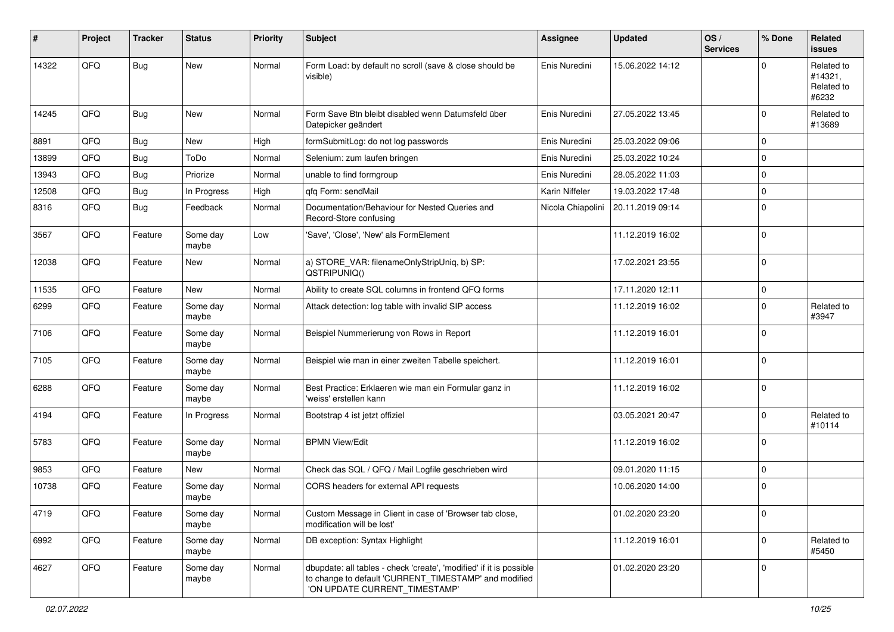| ∦     | Project | <b>Tracker</b> | <b>Status</b>     | <b>Priority</b> | Subject                                                                                                                                                       | <b>Assignee</b>   | <b>Updated</b>   | OS/<br><b>Services</b> | % Done      | Related<br>issues                            |
|-------|---------|----------------|-------------------|-----------------|---------------------------------------------------------------------------------------------------------------------------------------------------------------|-------------------|------------------|------------------------|-------------|----------------------------------------------|
| 14322 | QFQ     | <b>Bug</b>     | New               | Normal          | Form Load: by default no scroll (save & close should be<br>visible)                                                                                           | Enis Nuredini     | 15.06.2022 14:12 |                        | $\Omega$    | Related to<br>#14321,<br>Related to<br>#6232 |
| 14245 | QFQ     | <b>Bug</b>     | <b>New</b>        | Normal          | Form Save Btn bleibt disabled wenn Datumsfeld über<br>Datepicker geändert                                                                                     | Enis Nuredini     | 27.05.2022 13:45 |                        | $\Omega$    | Related to<br>#13689                         |
| 8891  | QFQ     | <b>Bug</b>     | <b>New</b>        | High            | formSubmitLog: do not log passwords                                                                                                                           | Enis Nuredini     | 25.03.2022 09:06 |                        | $\mathbf 0$ |                                              |
| 13899 | QFQ     | Bug            | ToDo              | Normal          | Selenium: zum laufen bringen                                                                                                                                  | Enis Nuredini     | 25.03.2022 10:24 |                        | $\Omega$    |                                              |
| 13943 | QFQ     | <b>Bug</b>     | Priorize          | Normal          | unable to find formgroup                                                                                                                                      | Enis Nuredini     | 28.05.2022 11:03 |                        | $\Omega$    |                                              |
| 12508 | QFQ     | <b>Bug</b>     | In Progress       | High            | gfg Form: sendMail                                                                                                                                            | Karin Niffeler    | 19.03.2022 17:48 |                        | $\mathbf 0$ |                                              |
| 8316  | QFQ     | <b>Bug</b>     | Feedback          | Normal          | Documentation/Behaviour for Nested Queries and<br>Record-Store confusing                                                                                      | Nicola Chiapolini | 20.11.2019 09:14 |                        | $\mathbf 0$ |                                              |
| 3567  | QFQ     | Feature        | Some day<br>maybe | Low             | 'Save', 'Close', 'New' als FormElement                                                                                                                        |                   | 11.12.2019 16:02 |                        | $\mathbf 0$ |                                              |
| 12038 | QFQ     | Feature        | New               | Normal          | a) STORE_VAR: filenameOnlyStripUniq, b) SP:<br>QSTRIPUNIQ()                                                                                                   |                   | 17.02.2021 23:55 |                        | $\Omega$    |                                              |
| 11535 | QFQ     | Feature        | <b>New</b>        | Normal          | Ability to create SQL columns in frontend QFQ forms                                                                                                           |                   | 17.11.2020 12:11 |                        | 0           |                                              |
| 6299  | QFQ     | Feature        | Some day<br>maybe | Normal          | Attack detection: log table with invalid SIP access                                                                                                           |                   | 11.12.2019 16:02 |                        | $\mathbf 0$ | Related to<br>#3947                          |
| 7106  | QFQ     | Feature        | Some day<br>maybe | Normal          | Beispiel Nummerierung von Rows in Report                                                                                                                      |                   | 11.12.2019 16:01 |                        | 0           |                                              |
| 7105  | QFQ     | Feature        | Some day<br>maybe | Normal          | Beispiel wie man in einer zweiten Tabelle speichert.                                                                                                          |                   | 11.12.2019 16:01 |                        | $\mathbf 0$ |                                              |
| 6288  | QFQ     | Feature        | Some day<br>maybe | Normal          | Best Practice: Erklaeren wie man ein Formular ganz in<br>'weiss' erstellen kann                                                                               |                   | 11.12.2019 16:02 |                        | $\Omega$    |                                              |
| 4194  | QFQ     | Feature        | In Progress       | Normal          | Bootstrap 4 ist jetzt offiziel                                                                                                                                |                   | 03.05.2021 20:47 |                        | $\Omega$    | Related to<br>#10114                         |
| 5783  | QFQ     | Feature        | Some day<br>maybe | Normal          | <b>BPMN View/Edit</b>                                                                                                                                         |                   | 11.12.2019 16:02 |                        | $\mathbf 0$ |                                              |
| 9853  | QFQ     | Feature        | New               | Normal          | Check das SQL / QFQ / Mail Logfile geschrieben wird                                                                                                           |                   | 09.01.2020 11:15 |                        | $\mathbf 0$ |                                              |
| 10738 | QFQ     | Feature        | Some day<br>maybe | Normal          | CORS headers for external API requests                                                                                                                        |                   | 10.06.2020 14:00 |                        | l 0         |                                              |
| 4719  | QFQ     | Feature        | Some day<br>maybe | Normal          | Custom Message in Client in case of 'Browser tab close,<br>modification will be lost'                                                                         |                   | 01.02.2020 23:20 |                        | 0           |                                              |
| 6992  | QFQ     | Feature        | Some day<br>maybe | Normal          | DB exception: Syntax Highlight                                                                                                                                |                   | 11.12.2019 16:01 |                        | $\Omega$    | Related to<br>#5450                          |
| 4627  | QFQ     | Feature        | Some day<br>maybe | Normal          | dbupdate: all tables - check 'create', 'modified' if it is possible<br>to change to default 'CURRENT_TIMESTAMP' and modified<br>'ON UPDATE CURRENT_TIMESTAMP' |                   | 01.02.2020 23:20 |                        | 0           |                                              |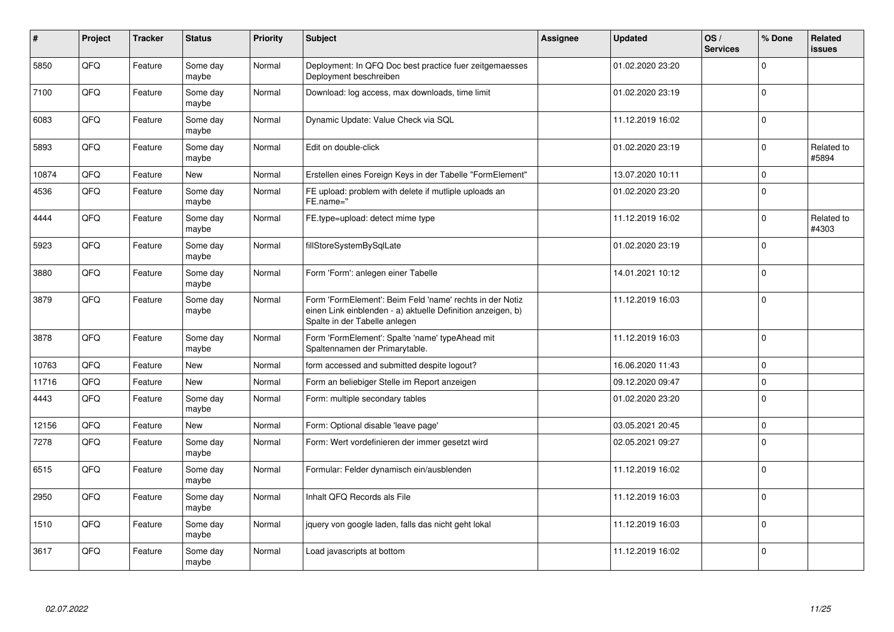| $\pmb{\#}$ | Project    | <b>Tracker</b> | <b>Status</b>     | <b>Priority</b> | <b>Subject</b>                                                                                                                                           | Assignee | <b>Updated</b>   | OS/<br><b>Services</b> | % Done      | Related<br><b>issues</b> |
|------------|------------|----------------|-------------------|-----------------|----------------------------------------------------------------------------------------------------------------------------------------------------------|----------|------------------|------------------------|-------------|--------------------------|
| 5850       | QFQ        | Feature        | Some day<br>maybe | Normal          | Deployment: In QFQ Doc best practice fuer zeitgemaesses<br>Deployment beschreiben                                                                        |          | 01.02.2020 23:20 |                        | $\Omega$    |                          |
| 7100       | QFQ        | Feature        | Some day<br>maybe | Normal          | Download: log access, max downloads, time limit                                                                                                          |          | 01.02.2020 23:19 |                        | I٥          |                          |
| 6083       | QFQ        | Feature        | Some day<br>maybe | Normal          | Dynamic Update: Value Check via SQL                                                                                                                      |          | 11.12.2019 16:02 |                        | $\Omega$    |                          |
| 5893       | QFQ        | Feature        | Some day<br>maybe | Normal          | Edit on double-click                                                                                                                                     |          | 01.02.2020 23:19 |                        | $\mathbf 0$ | Related to<br>#5894      |
| 10874      | QFQ        | Feature        | New               | Normal          | Erstellen eines Foreign Keys in der Tabelle "FormElement"                                                                                                |          | 13.07.2020 10:11 |                        | $\Omega$    |                          |
| 4536       | QFQ        | Feature        | Some day<br>maybe | Normal          | FE upload: problem with delete if mutliple uploads an<br>FE.name="                                                                                       |          | 01.02.2020 23:20 |                        | l O         |                          |
| 4444       | <b>OFO</b> | Feature        | Some day<br>maybe | Normal          | FE.type=upload: detect mime type                                                                                                                         |          | 11.12.2019 16:02 |                        | $\Omega$    | Related to<br>#4303      |
| 5923       | QFQ        | Feature        | Some day<br>maybe | Normal          | fillStoreSystemBySqlLate                                                                                                                                 |          | 01.02.2020 23:19 |                        | l O         |                          |
| 3880       | QFQ        | Feature        | Some day<br>maybe | Normal          | Form 'Form': anlegen einer Tabelle                                                                                                                       |          | 14.01.2021 10:12 |                        | l o         |                          |
| 3879       | QFQ        | Feature        | Some day<br>maybe | Normal          | Form 'FormElement': Beim Feld 'name' rechts in der Notiz<br>einen Link einblenden - a) aktuelle Definition anzeigen, b)<br>Spalte in der Tabelle anlegen |          | 11.12.2019 16:03 |                        | I٥          |                          |
| 3878       | QFQ        | Feature        | Some day<br>maybe | Normal          | Form 'FormElement': Spalte 'name' typeAhead mit<br>Spaltennamen der Primarytable.                                                                        |          | 11.12.2019 16:03 |                        | l o         |                          |
| 10763      | QFQ        | Feature        | <b>New</b>        | Normal          | form accessed and submitted despite logout?                                                                                                              |          | 16.06.2020 11:43 |                        | l O         |                          |
| 11716      | QFQ        | Feature        | <b>New</b>        | Normal          | Form an beliebiger Stelle im Report anzeigen                                                                                                             |          | 09.12.2020 09:47 |                        | $\Omega$    |                          |
| 4443       | QFQ        | Feature        | Some day<br>maybe | Normal          | Form: multiple secondary tables                                                                                                                          |          | 01.02.2020 23:20 |                        | ١o          |                          |
| 12156      | QFQ        | Feature        | <b>New</b>        | Normal          | Form: Optional disable 'leave page'                                                                                                                      |          | 03.05.2021 20:45 |                        | $\mathbf 0$ |                          |
| 7278       | QFQ        | Feature        | Some day<br>maybe | Normal          | Form: Wert vordefinieren der immer gesetzt wird                                                                                                          |          | 02.05.2021 09:27 |                        | I٥          |                          |
| 6515       | QFQ        | Feature        | Some day<br>maybe | Normal          | Formular: Felder dynamisch ein/ausblenden                                                                                                                |          | 11.12.2019 16:02 |                        | I٥          |                          |
| 2950       | QFQ        | Feature        | Some day<br>maybe | Normal          | Inhalt QFQ Records als File                                                                                                                              |          | 11.12.2019 16:03 |                        | $\mathbf 0$ |                          |
| 1510       | QFQ        | Feature        | Some day<br>maybe | Normal          | jquery von google laden, falls das nicht geht lokal                                                                                                      |          | 11.12.2019 16:03 |                        | l 0         |                          |
| 3617       | QFQ        | Feature        | Some day<br>maybe | Normal          | Load javascripts at bottom                                                                                                                               |          | 11.12.2019 16:02 |                        | I٥          |                          |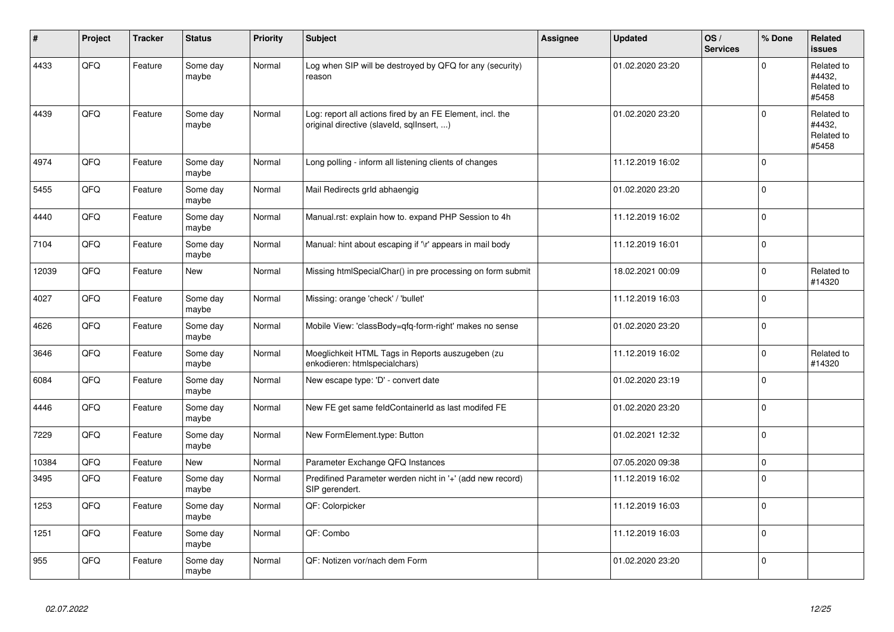| $\pmb{\sharp}$ | Project | <b>Tracker</b> | <b>Status</b>     | <b>Priority</b> | <b>Subject</b>                                                                                         | <b>Assignee</b> | <b>Updated</b>   | OS/<br><b>Services</b> | % Done   | Related<br><b>issues</b>                    |
|----------------|---------|----------------|-------------------|-----------------|--------------------------------------------------------------------------------------------------------|-----------------|------------------|------------------------|----------|---------------------------------------------|
| 4433           | QFQ     | Feature        | Some day<br>maybe | Normal          | Log when SIP will be destroyed by QFQ for any (security)<br>reason                                     |                 | 01.02.2020 23:20 |                        | $\Omega$ | Related to<br>#4432,<br>Related to<br>#5458 |
| 4439           | QFQ     | Feature        | Some day<br>maybe | Normal          | Log: report all actions fired by an FE Element, incl. the<br>original directive (slaveld, sqllnsert, ) |                 | 01.02.2020 23:20 |                        | ١o       | Related to<br>#4432,<br>Related to<br>#5458 |
| 4974           | QFQ     | Feature        | Some day<br>maybe | Normal          | Long polling - inform all listening clients of changes                                                 |                 | 11.12.2019 16:02 |                        | I٥       |                                             |
| 5455           | QFQ     | Feature        | Some day<br>maybe | Normal          | Mail Redirects grld abhaengig                                                                          |                 | 01.02.2020 23:20 |                        | I٥       |                                             |
| 4440           | QFQ     | Feature        | Some day<br>maybe | Normal          | Manual.rst: explain how to. expand PHP Session to 4h                                                   |                 | 11.12.2019 16:02 |                        | ١o       |                                             |
| 7104           | QFQ     | Feature        | Some day<br>maybe | Normal          | Manual: hint about escaping if '\r' appears in mail body                                               |                 | 11.12.2019 16:01 |                        | l o      |                                             |
| 12039          | QFQ     | Feature        | New               | Normal          | Missing htmlSpecialChar() in pre processing on form submit                                             |                 | 18.02.2021 00:09 |                        | ١o       | Related to<br>#14320                        |
| 4027           | QFQ     | Feature        | Some day<br>maybe | Normal          | Missing: orange 'check' / 'bullet'                                                                     |                 | 11.12.2019 16:03 |                        | l O      |                                             |
| 4626           | QFQ     | Feature        | Some day<br>maybe | Normal          | Mobile View: 'classBody=qfq-form-right' makes no sense                                                 |                 | 01.02.2020 23:20 |                        | l 0      |                                             |
| 3646           | QFQ     | Feature        | Some day<br>maybe | Normal          | Moeglichkeit HTML Tags in Reports auszugeben (zu<br>enkodieren: htmlspecialchars)                      |                 | 11.12.2019 16:02 |                        | I٥       | Related to<br>#14320                        |
| 6084           | QFQ     | Feature        | Some day<br>maybe | Normal          | New escape type: 'D' - convert date                                                                    |                 | 01.02.2020 23:19 |                        | I٥       |                                             |
| 4446           | QFQ     | Feature        | Some day<br>maybe | Normal          | New FE get same feldContainerId as last modifed FE                                                     |                 | 01.02.2020 23:20 |                        | I٥       |                                             |
| 7229           | QFQ     | Feature        | Some day<br>maybe | Normal          | New FormElement.type: Button                                                                           |                 | 01.02.2021 12:32 |                        | l o      |                                             |
| 10384          | QFQ     | Feature        | New               | Normal          | Parameter Exchange QFQ Instances                                                                       |                 | 07.05.2020 09:38 |                        | l 0      |                                             |
| 3495           | QFQ     | Feature        | Some day<br>maybe | Normal          | Predifined Parameter werden nicht in '+' (add new record)<br>SIP gerendert.                            |                 | 11.12.2019 16:02 |                        | l O      |                                             |
| 1253           | QFQ     | Feature        | Some day<br>maybe | Normal          | QF: Colorpicker                                                                                        |                 | 11.12.2019 16:03 |                        | l O      |                                             |
| 1251           | QFG     | Feature        | Some day<br>maybe | Normal          | QF: Combo                                                                                              |                 | 11.12.2019 16:03 |                        | l o      |                                             |
| 955            | QFQ     | Feature        | Some day<br>maybe | Normal          | QF: Notizen vor/nach dem Form                                                                          |                 | 01.02.2020 23:20 |                        | ١o       |                                             |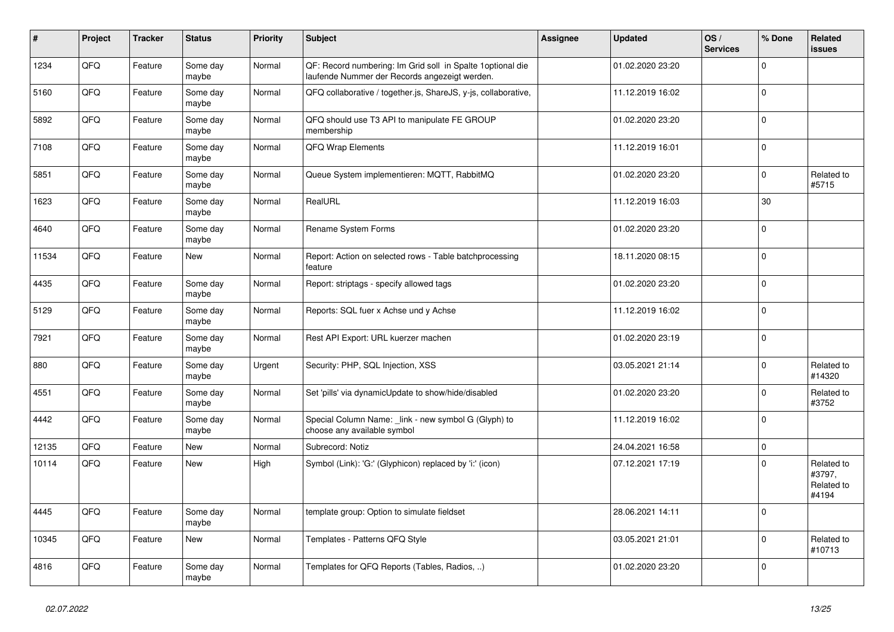| $\vert$ # | Project | <b>Tracker</b> | <b>Status</b>     | <b>Priority</b> | <b>Subject</b>                                                                                               | Assignee | <b>Updated</b>   | OS/<br><b>Services</b> | % Done              | Related<br><b>issues</b>                    |
|-----------|---------|----------------|-------------------|-----------------|--------------------------------------------------------------------------------------------------------------|----------|------------------|------------------------|---------------------|---------------------------------------------|
| 1234      | QFQ     | Feature        | Some day<br>maybe | Normal          | QF: Record numbering: Im Grid soll in Spalte 1 optional die<br>laufende Nummer der Records angezeigt werden. |          | 01.02.2020 23:20 |                        | $\Omega$            |                                             |
| 5160      | QFQ     | Feature        | Some day<br>maybe | Normal          | QFQ collaborative / together.js, ShareJS, y-js, collaborative,                                               |          | 11.12.2019 16:02 |                        | $\mathsf 0$         |                                             |
| 5892      | QFQ     | Feature        | Some day<br>maybe | Normal          | QFQ should use T3 API to manipulate FE GROUP<br>membership                                                   |          | 01.02.2020 23:20 |                        | $\mathbf 0$         |                                             |
| 7108      | QFQ     | Feature        | Some day<br>maybe | Normal          | QFQ Wrap Elements                                                                                            |          | 11.12.2019 16:01 |                        | $\mathbf 0$         |                                             |
| 5851      | QFQ     | Feature        | Some day<br>maybe | Normal          | Queue System implementieren: MQTT, RabbitMQ                                                                  |          | 01.02.2020 23:20 |                        | $\mathbf 0$         | Related to<br>#5715                         |
| 1623      | QFQ     | Feature        | Some day<br>maybe | Normal          | RealURL                                                                                                      |          | 11.12.2019 16:03 |                        | 30                  |                                             |
| 4640      | QFQ     | Feature        | Some day<br>maybe | Normal          | Rename System Forms                                                                                          |          | 01.02.2020 23:20 |                        | $\mathbf 0$         |                                             |
| 11534     | QFQ     | Feature        | <b>New</b>        | Normal          | Report: Action on selected rows - Table batchprocessing<br>feature                                           |          | 18.11.2020 08:15 |                        | $\mathbf 0$         |                                             |
| 4435      | QFQ     | Feature        | Some day<br>maybe | Normal          | Report: striptags - specify allowed tags                                                                     |          | 01.02.2020 23:20 |                        | $\mathbf 0$         |                                             |
| 5129      | QFQ     | Feature        | Some day<br>maybe | Normal          | Reports: SQL fuer x Achse und y Achse                                                                        |          | 11.12.2019 16:02 |                        | $\mathbf 0$         |                                             |
| 7921      | QFQ     | Feature        | Some day<br>maybe | Normal          | Rest API Export: URL kuerzer machen                                                                          |          | 01.02.2020 23:19 |                        | $\mathbf 0$         |                                             |
| 880       | QFQ     | Feature        | Some day<br>maybe | Urgent          | Security: PHP, SQL Injection, XSS                                                                            |          | 03.05.2021 21:14 |                        | $\mathbf 0$         | Related to<br>#14320                        |
| 4551      | QFQ     | Feature        | Some day<br>maybe | Normal          | Set 'pills' via dynamicUpdate to show/hide/disabled                                                          |          | 01.02.2020 23:20 |                        | $\Omega$            | Related to<br>#3752                         |
| 4442      | QFQ     | Feature        | Some day<br>maybe | Normal          | Special Column Name: link - new symbol G (Glyph) to<br>choose any available symbol                           |          | 11.12.2019 16:02 |                        | $\mathbf 0$         |                                             |
| 12135     | QFQ     | Feature        | <b>New</b>        | Normal          | Subrecord: Notiz                                                                                             |          | 24.04.2021 16:58 |                        | $\mathsf{O}\xspace$ |                                             |
| 10114     | QFQ     | Feature        | New               | High            | Symbol (Link): 'G:' (Glyphicon) replaced by 'i:' (icon)                                                      |          | 07.12.2021 17:19 |                        | $\Omega$            | Related to<br>#3797,<br>Related to<br>#4194 |
| 4445      | QFQ     | Feature        | Some day<br>maybe | Normal          | template group: Option to simulate fieldset                                                                  |          | 28.06.2021 14:11 |                        | $\Omega$            |                                             |
| 10345     | QFQ     | Feature        | <b>New</b>        | Normal          | Templates - Patterns QFQ Style                                                                               |          | 03.05.2021 21:01 |                        | $\mathbf 0$         | Related to<br>#10713                        |
| 4816      | QFQ     | Feature        | Some day<br>maybe | Normal          | Templates for QFQ Reports (Tables, Radios, )                                                                 |          | 01.02.2020 23:20 |                        | $\mathbf 0$         |                                             |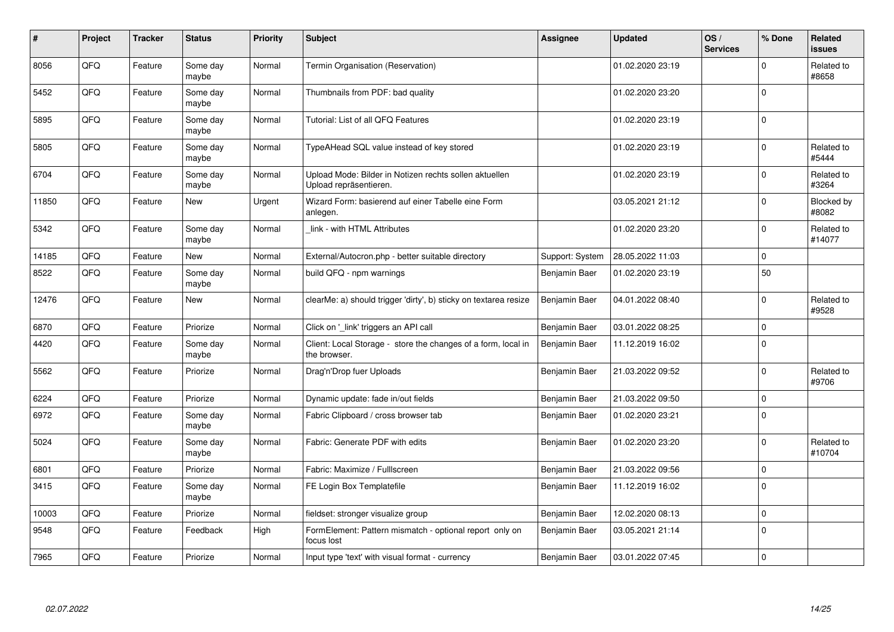| #     | Project | <b>Tracker</b> | <b>Status</b>     | <b>Priority</b> | <b>Subject</b>                                                                   | Assignee        | <b>Updated</b>   | OS/<br><b>Services</b> | % Done      | Related<br><b>issues</b> |
|-------|---------|----------------|-------------------|-----------------|----------------------------------------------------------------------------------|-----------------|------------------|------------------------|-------------|--------------------------|
| 8056  | QFQ     | Feature        | Some day<br>maybe | Normal          | Termin Organisation (Reservation)                                                |                 | 01.02.2020 23:19 |                        | $\mathbf 0$ | Related to<br>#8658      |
| 5452  | QFQ     | Feature        | Some day<br>maybe | Normal          | Thumbnails from PDF: bad quality                                                 |                 | 01.02.2020 23:20 |                        | $\Omega$    |                          |
| 5895  | QFQ     | Feature        | Some day<br>maybe | Normal          | Tutorial: List of all QFQ Features                                               |                 | 01.02.2020 23:19 |                        | $\mathbf 0$ |                          |
| 5805  | QFQ     | Feature        | Some day<br>maybe | Normal          | TypeAHead SQL value instead of key stored                                        |                 | 01.02.2020 23:19 |                        | $\mathbf 0$ | Related to<br>#5444      |
| 6704  | QFQ     | Feature        | Some day<br>maybe | Normal          | Upload Mode: Bilder in Notizen rechts sollen aktuellen<br>Upload repräsentieren. |                 | 01.02.2020 23:19 |                        | $\Omega$    | Related to<br>#3264      |
| 11850 | QFQ     | Feature        | New               | Urgent          | Wizard Form: basierend auf einer Tabelle eine Form<br>anlegen.                   |                 | 03.05.2021 21:12 |                        | $\Omega$    | Blocked by<br>#8082      |
| 5342  | QFQ     | Feature        | Some day<br>maybe | Normal          | link - with HTML Attributes                                                      |                 | 01.02.2020 23:20 |                        | $\mathbf 0$ | Related to<br>#14077     |
| 14185 | QFQ     | Feature        | <b>New</b>        | Normal          | External/Autocron.php - better suitable directory                                | Support: System | 28.05.2022 11:03 |                        | $\mathbf 0$ |                          |
| 8522  | QFQ     | Feature        | Some day<br>maybe | Normal          | build QFQ - npm warnings                                                         | Benjamin Baer   | 01.02.2020 23:19 |                        | 50          |                          |
| 12476 | QFQ     | Feature        | New               | Normal          | clearMe: a) should trigger 'dirty', b) sticky on textarea resize                 | Benjamin Baer   | 04.01.2022 08:40 |                        | $\mathbf 0$ | Related to<br>#9528      |
| 6870  | QFQ     | Feature        | Priorize          | Normal          | Click on 'link' triggers an API call                                             | Benjamin Baer   | 03.01.2022 08:25 |                        | $\mathbf 0$ |                          |
| 4420  | QFQ     | Feature        | Some day<br>maybe | Normal          | Client: Local Storage - store the changes of a form, local in<br>the browser.    | Benjamin Baer   | 11.12.2019 16:02 |                        | $\mathbf 0$ |                          |
| 5562  | QFQ     | Feature        | Priorize          | Normal          | Drag'n'Drop fuer Uploads                                                         | Benjamin Baer   | 21.03.2022 09:52 |                        | $\mathbf 0$ | Related to<br>#9706      |
| 6224  | QFQ     | Feature        | Priorize          | Normal          | Dynamic update: fade in/out fields                                               | Benjamin Baer   | 21.03.2022 09:50 |                        | $\mathbf 0$ |                          |
| 6972  | QFQ     | Feature        | Some day<br>maybe | Normal          | Fabric Clipboard / cross browser tab                                             | Benjamin Baer   | 01.02.2020 23:21 |                        | $\pmb{0}$   |                          |
| 5024  | QFQ     | Feature        | Some day<br>maybe | Normal          | Fabric: Generate PDF with edits                                                  | Benjamin Baer   | 01.02.2020 23:20 |                        | $\mathbf 0$ | Related to<br>#10704     |
| 6801  | QFQ     | Feature        | Priorize          | Normal          | Fabric: Maximize / FullIscreen                                                   | Benjamin Baer   | 21.03.2022 09:56 |                        | $\mathbf 0$ |                          |
| 3415  | QFQ     | Feature        | Some day<br>maybe | Normal          | FE Login Box Templatefile                                                        | Benjamin Baer   | 11.12.2019 16:02 |                        | $\mathbf 0$ |                          |
| 10003 | QFQ     | Feature        | Priorize          | Normal          | fieldset: stronger visualize group                                               | Benjamin Baer   | 12.02.2020 08:13 |                        | $\mathbf 0$ |                          |
| 9548  | QFQ     | Feature        | Feedback          | High            | FormElement: Pattern mismatch - optional report only on<br>focus lost            | Benjamin Baer   | 03.05.2021 21:14 |                        | $\mathbf 0$ |                          |
| 7965  | QFQ     | Feature        | Priorize          | Normal          | Input type 'text' with visual format - currency                                  | Benjamin Baer   | 03.01.2022 07:45 |                        | $\mathbf 0$ |                          |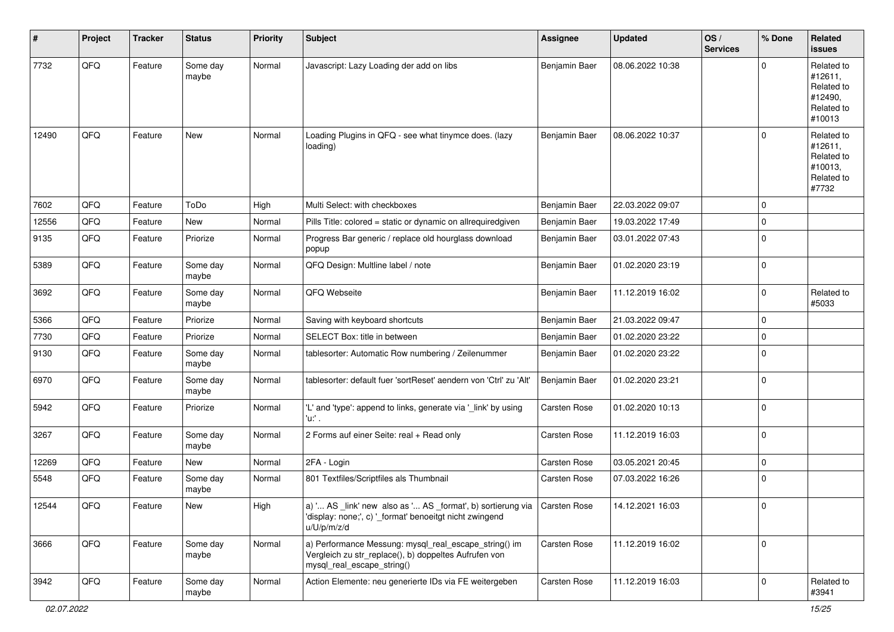| #     | Project | <b>Tracker</b> | <b>Status</b>     | <b>Priority</b> | <b>Subject</b>                                                                                                                                       | <b>Assignee</b> | <b>Updated</b>   | OS/<br><b>Services</b> | % Done              | Related<br><b>issues</b>                                               |
|-------|---------|----------------|-------------------|-----------------|------------------------------------------------------------------------------------------------------------------------------------------------------|-----------------|------------------|------------------------|---------------------|------------------------------------------------------------------------|
| 7732  | QFQ     | Feature        | Some day<br>maybe | Normal          | Javascript: Lazy Loading der add on libs                                                                                                             | Benjamin Baer   | 08.06.2022 10:38 |                        | $\Omega$            | Related to<br>#12611,<br>Related to<br>#12490,<br>Related to<br>#10013 |
| 12490 | QFQ     | Feature        | New               | Normal          | Loading Plugins in QFQ - see what tinymce does. (lazy<br>loading)                                                                                    | Benjamin Baer   | 08.06.2022 10:37 |                        | $\mathbf 0$         | Related to<br>#12611,<br>Related to<br>#10013,<br>Related to<br>#7732  |
| 7602  | QFQ     | Feature        | ToDo              | High            | Multi Select: with checkboxes                                                                                                                        | Benjamin Baer   | 22.03.2022 09:07 |                        | $\mathbf 0$         |                                                                        |
| 12556 | QFQ     | Feature        | New               | Normal          | Pills Title: colored = static or dynamic on allrequiredgiven                                                                                         | Benjamin Baer   | 19.03.2022 17:49 |                        | $\mathbf 0$         |                                                                        |
| 9135  | QFQ     | Feature        | Priorize          | Normal          | Progress Bar generic / replace old hourglass download<br>popup                                                                                       | Benjamin Baer   | 03.01.2022 07:43 |                        | $\mathbf 0$         |                                                                        |
| 5389  | QFQ     | Feature        | Some day<br>maybe | Normal          | QFQ Design: Multline label / note                                                                                                                    | Benjamin Baer   | 01.02.2020 23:19 |                        | $\mathbf 0$         |                                                                        |
| 3692  | QFQ     | Feature        | Some day<br>maybe | Normal          | QFQ Webseite                                                                                                                                         | Benjamin Baer   | 11.12.2019 16:02 |                        | $\mathbf 0$         | Related to<br>#5033                                                    |
| 5366  | QFQ     | Feature        | Priorize          | Normal          | Saving with keyboard shortcuts                                                                                                                       | Benjamin Baer   | 21.03.2022 09:47 |                        | $\mathbf 0$         |                                                                        |
| 7730  | QFQ     | Feature        | Priorize          | Normal          | SELECT Box: title in between                                                                                                                         | Benjamin Baer   | 01.02.2020 23:22 |                        | $\mathbf 0$         |                                                                        |
| 9130  | QFQ     | Feature        | Some day<br>maybe | Normal          | tablesorter: Automatic Row numbering / Zeilenummer                                                                                                   | Benjamin Baer   | 01.02.2020 23:22 |                        | $\mathbf 0$         |                                                                        |
| 6970  | QFQ     | Feature        | Some day<br>maybe | Normal          | tablesorter: default fuer 'sortReset' aendern von 'Ctrl' zu 'Alt'                                                                                    | Benjamin Baer   | 01.02.2020 23:21 |                        | $\mathbf 0$         |                                                                        |
| 5942  | QFQ     | Feature        | Priorize          | Normal          | 'L' and 'type': append to links, generate via '_link' by using<br>'u:' .                                                                             | Carsten Rose    | 01.02.2020 10:13 |                        | $\mathbf 0$         |                                                                        |
| 3267  | QFQ     | Feature        | Some day<br>maybe | Normal          | 2 Forms auf einer Seite: real + Read only                                                                                                            | Carsten Rose    | 11.12.2019 16:03 |                        | $\mathbf 0$         |                                                                        |
| 12269 | QFQ     | Feature        | New               | Normal          | 2FA - Login                                                                                                                                          | Carsten Rose    | 03.05.2021 20:45 |                        | $\mathbf 0$         |                                                                        |
| 5548  | QFQ     | Feature        | Some day<br>maybe | Normal          | 801 Textfiles/Scriptfiles als Thumbnail                                                                                                              | Carsten Rose    | 07.03.2022 16:26 |                        | $\mathbf 0$         |                                                                        |
| 12544 | QFQ     | Feature        | New               | High            | a) ' AS _link' new also as ' AS _format', b) sortierung via   Carsten Rose<br>'display: none;', c) ' format' benoeitgt nicht zwingend<br>u/U/p/m/z/d |                 | 14.12.2021 16:03 |                        | $\mathsf{O}\xspace$ |                                                                        |
| 3666  | QFQ     | Feature        | Some day<br>maybe | Normal          | a) Performance Messung: mysql_real_escape_string() im<br>Vergleich zu str_replace(), b) doppeltes Aufrufen von<br>mysql_real_escape_string()         | Carsten Rose    | 11.12.2019 16:02 |                        | $\mathsf{O}\xspace$ |                                                                        |
| 3942  | QFQ     | Feature        | Some day<br>maybe | Normal          | Action Elemente: neu generierte IDs via FE weitergeben                                                                                               | Carsten Rose    | 11.12.2019 16:03 |                        | $\mathbf 0$         | Related to<br>#3941                                                    |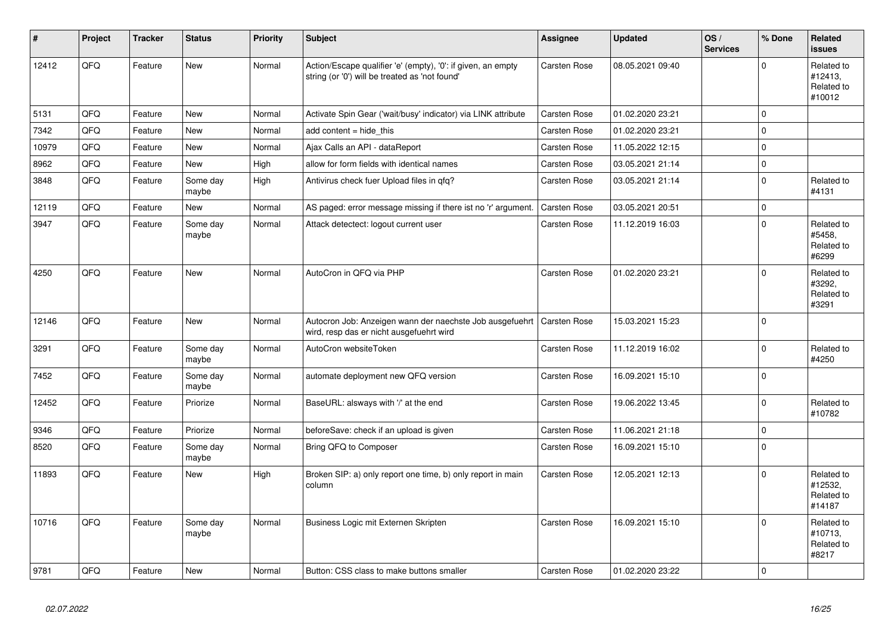| $\vert$ # | Project | <b>Tracker</b> | <b>Status</b>     | <b>Priority</b> | Subject                                                                                                        | <b>Assignee</b>     | <b>Updated</b>   | OS/<br><b>Services</b> | % Done      | Related<br><b>issues</b>                      |
|-----------|---------|----------------|-------------------|-----------------|----------------------------------------------------------------------------------------------------------------|---------------------|------------------|------------------------|-------------|-----------------------------------------------|
| 12412     | QFQ     | Feature        | <b>New</b>        | Normal          | Action/Escape qualifier 'e' (empty), '0': if given, an empty<br>string (or '0') will be treated as 'not found' | Carsten Rose        | 08.05.2021 09:40 |                        | $\Omega$    | Related to<br>#12413.<br>Related to<br>#10012 |
| 5131      | QFQ     | Feature        | <b>New</b>        | Normal          | Activate Spin Gear ('wait/busy' indicator) via LINK attribute                                                  | Carsten Rose        | 01.02.2020 23:21 |                        | $\mathbf 0$ |                                               |
| 7342      | QFQ     | Feature        | New               | Normal          | add content $=$ hide this                                                                                      | Carsten Rose        | 01.02.2020 23:21 |                        | $\Omega$    |                                               |
| 10979     | QFQ     | Feature        | <b>New</b>        | Normal          | Ajax Calls an API - dataReport                                                                                 | Carsten Rose        | 11.05.2022 12:15 |                        | $\mathbf 0$ |                                               |
| 8962      | QFQ     | Feature        | New               | High            | allow for form fields with identical names                                                                     | Carsten Rose        | 03.05.2021 21:14 |                        | $\pmb{0}$   |                                               |
| 3848      | QFQ     | Feature        | Some day<br>maybe | High            | Antivirus check fuer Upload files in qfq?                                                                      | Carsten Rose        | 03.05.2021 21:14 |                        | $\Omega$    | Related to<br>#4131                           |
| 12119     | QFQ     | Feature        | New               | Normal          | AS paged: error message missing if there ist no 'r' argument.                                                  | Carsten Rose        | 03.05.2021 20:51 |                        | $\mathbf 0$ |                                               |
| 3947      | QFQ     | Feature        | Some day<br>maybe | Normal          | Attack detectect: logout current user                                                                          | Carsten Rose        | 11.12.2019 16:03 |                        | $\mathbf 0$ | Related to<br>#5458,<br>Related to<br>#6299   |
| 4250      | QFQ     | Feature        | <b>New</b>        | Normal          | AutoCron in QFQ via PHP                                                                                        | Carsten Rose        | 01.02.2020 23:21 |                        | $\Omega$    | Related to<br>#3292.<br>Related to<br>#3291   |
| 12146     | QFQ     | Feature        | New               | Normal          | Autocron Job: Anzeigen wann der naechste Job ausgefuehrt<br>wird, resp das er nicht ausgefuehrt wird           | <b>Carsten Rose</b> | 15.03.2021 15:23 |                        | $\mathbf 0$ |                                               |
| 3291      | QFQ     | Feature        | Some day<br>maybe | Normal          | AutoCron websiteToken                                                                                          | Carsten Rose        | 11.12.2019 16:02 |                        | $\mathbf 0$ | Related to<br>#4250                           |
| 7452      | QFQ     | Feature        | Some day<br>maybe | Normal          | automate deployment new QFQ version                                                                            | Carsten Rose        | 16.09.2021 15:10 |                        | $\Omega$    |                                               |
| 12452     | QFQ     | Feature        | Priorize          | Normal          | BaseURL: alsways with '/' at the end                                                                           | Carsten Rose        | 19.06.2022 13:45 |                        | $\Omega$    | Related to<br>#10782                          |
| 9346      | QFQ     | Feature        | Priorize          | Normal          | beforeSave: check if an upload is given                                                                        | Carsten Rose        | 11.06.2021 21:18 |                        | $\mathbf 0$ |                                               |
| 8520      | QFQ     | Feature        | Some day<br>maybe | Normal          | Bring QFQ to Composer                                                                                          | Carsten Rose        | 16.09.2021 15:10 |                        | $\mathbf 0$ |                                               |
| 11893     | QFQ     | Feature        | <b>New</b>        | High            | Broken SIP: a) only report one time, b) only report in main<br>column                                          | Carsten Rose        | 12.05.2021 12:13 |                        | $\Omega$    | Related to<br>#12532,<br>Related to<br>#14187 |
| 10716     | QFQ     | Feature        | Some day<br>maybe | Normal          | Business Logic mit Externen Skripten                                                                           | Carsten Rose        | 16.09.2021 15:10 |                        | $\Omega$    | Related to<br>#10713,<br>Related to<br>#8217  |
| 9781      | QFQ     | Feature        | New               | Normal          | Button: CSS class to make buttons smaller                                                                      | <b>Carsten Rose</b> | 01.02.2020 23:22 |                        | $\mathbf 0$ |                                               |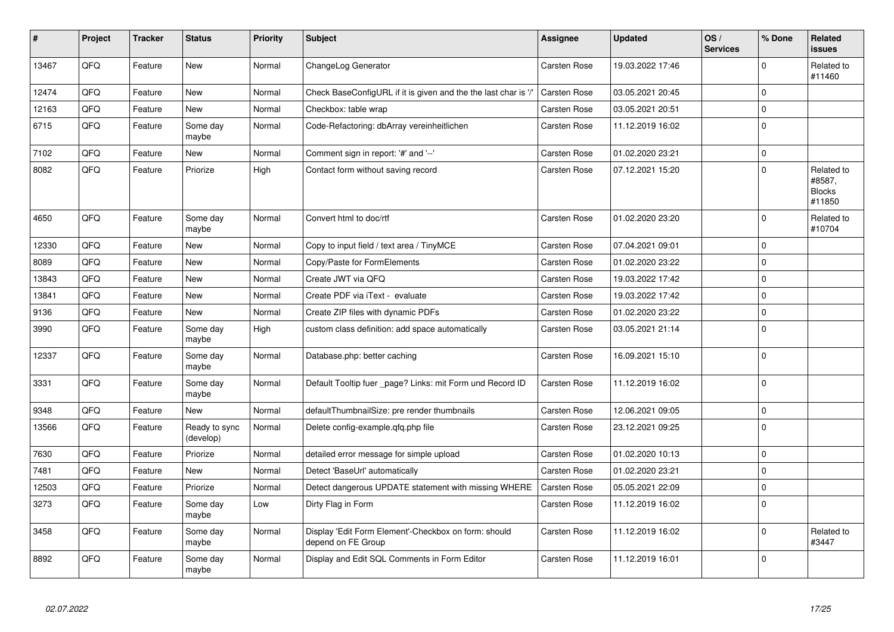| $\vert$ # | Project | <b>Tracker</b> | <b>Status</b>              | <b>Priority</b> | <b>Subject</b>                                                             | Assignee            | <b>Updated</b>   | OS/<br><b>Services</b> | % Done       | Related<br>issues                               |
|-----------|---------|----------------|----------------------------|-----------------|----------------------------------------------------------------------------|---------------------|------------------|------------------------|--------------|-------------------------------------------------|
| 13467     | QFQ     | Feature        | New                        | Normal          | ChangeLog Generator                                                        | Carsten Rose        | 19.03.2022 17:46 |                        | $\Omega$     | Related to<br>#11460                            |
| 12474     | QFQ     | Feature        | <b>New</b>                 | Normal          | Check BaseConfigURL if it is given and the the last char is '/             | Carsten Rose        | 03.05.2021 20:45 |                        | $\mathbf 0$  |                                                 |
| 12163     | QFQ     | Feature        | <b>New</b>                 | Normal          | Checkbox: table wrap                                                       | Carsten Rose        | 03.05.2021 20:51 |                        | $\Omega$     |                                                 |
| 6715      | QFQ     | Feature        | Some day<br>maybe          | Normal          | Code-Refactoring: dbArray vereinheitlichen                                 | Carsten Rose        | 11.12.2019 16:02 |                        | I٥           |                                                 |
| 7102      | QFQ     | Feature        | <b>New</b>                 | Normal          | Comment sign in report: '#' and '--'                                       | Carsten Rose        | 01.02.2020 23:21 |                        | l O          |                                                 |
| 8082      | QFQ     | Feature        | Priorize                   | High            | Contact form without saving record                                         | Carsten Rose        | 07.12.2021 15:20 |                        | $\Omega$     | Related to<br>#8587,<br><b>Blocks</b><br>#11850 |
| 4650      | QFQ     | Feature        | Some day<br>maybe          | Normal          | Convert html to doc/rtf                                                    | Carsten Rose        | 01.02.2020 23:20 |                        | $\mathbf 0$  | Related to<br>#10704                            |
| 12330     | QFQ     | Feature        | New                        | Normal          | Copy to input field / text area / TinyMCE                                  | Carsten Rose        | 07.04.2021 09:01 |                        | $\mathbf 0$  |                                                 |
| 8089      | QFQ     | Feature        | <b>New</b>                 | Normal          | Copy/Paste for FormElements                                                | Carsten Rose        | 01.02.2020 23:22 |                        | $\Omega$     |                                                 |
| 13843     | QFQ     | Feature        | New                        | Normal          | Create JWT via QFQ                                                         | Carsten Rose        | 19.03.2022 17:42 |                        | $\mathbf 0$  |                                                 |
| 13841     | QFQ     | Feature        | New                        | Normal          | Create PDF via iText - evaluate                                            | Carsten Rose        | 19.03.2022 17:42 |                        | $\mathbf{0}$ |                                                 |
| 9136      | QFQ     | Feature        | New                        | Normal          | Create ZIP files with dynamic PDFs                                         | Carsten Rose        | 01.02.2020 23:22 |                        | $\mathbf 0$  |                                                 |
| 3990      | QFQ     | Feature        | Some day<br>maybe          | High            | custom class definition: add space automatically                           | Carsten Rose        | 03.05.2021 21:14 |                        | I٥           |                                                 |
| 12337     | QFQ     | Feature        | Some day<br>maybe          | Normal          | Database.php: better caching                                               | Carsten Rose        | 16.09.2021 15:10 |                        | $\Omega$     |                                                 |
| 3331      | QFQ     | Feature        | Some day<br>maybe          | Normal          | Default Tooltip fuer _page? Links: mit Form und Record ID                  | Carsten Rose        | 11.12.2019 16:02 |                        | l O          |                                                 |
| 9348      | QFQ     | Feature        | New                        | Normal          | defaultThumbnailSize: pre render thumbnails                                | Carsten Rose        | 12.06.2021 09:05 |                        | $\mathbf 0$  |                                                 |
| 13566     | QFQ     | Feature        | Ready to sync<br>(develop) | Normal          | Delete config-example.gfg.php file                                         | Carsten Rose        | 23.12.2021 09:25 |                        | I٥           |                                                 |
| 7630      | QFQ     | Feature        | Priorize                   | Normal          | detailed error message for simple upload                                   | Carsten Rose        | 01.02.2020 10:13 |                        | l O          |                                                 |
| 7481      | QFQ     | Feature        | New                        | Normal          | Detect 'BaseUrl' automatically                                             | Carsten Rose        | 01.02.2020 23:21 |                        | $\mathbf 0$  |                                                 |
| 12503     | QFQ     | Feature        | Priorize                   | Normal          | Detect dangerous UPDATE statement with missing WHERE                       | <b>Carsten Rose</b> | 05.05.2021 22:09 |                        | $\mathbf 0$  |                                                 |
| 3273      | QFQ     | Feature        | Some day<br>maybe          | Low             | Dirty Flag in Form                                                         | Carsten Rose        | 11.12.2019 16:02 |                        | $\Omega$     |                                                 |
| 3458      | QFQ     | Feature        | Some day<br>maybe          | Normal          | Display 'Edit Form Element'-Checkbox on form: should<br>depend on FE Group | Carsten Rose        | 11.12.2019 16:02 |                        | $\mathbf 0$  | Related to<br>#3447                             |
| 8892      | QFQ     | Feature        | Some day<br>maybe          | Normal          | Display and Edit SQL Comments in Form Editor                               | Carsten Rose        | 11.12.2019 16:01 |                        | $\Omega$     |                                                 |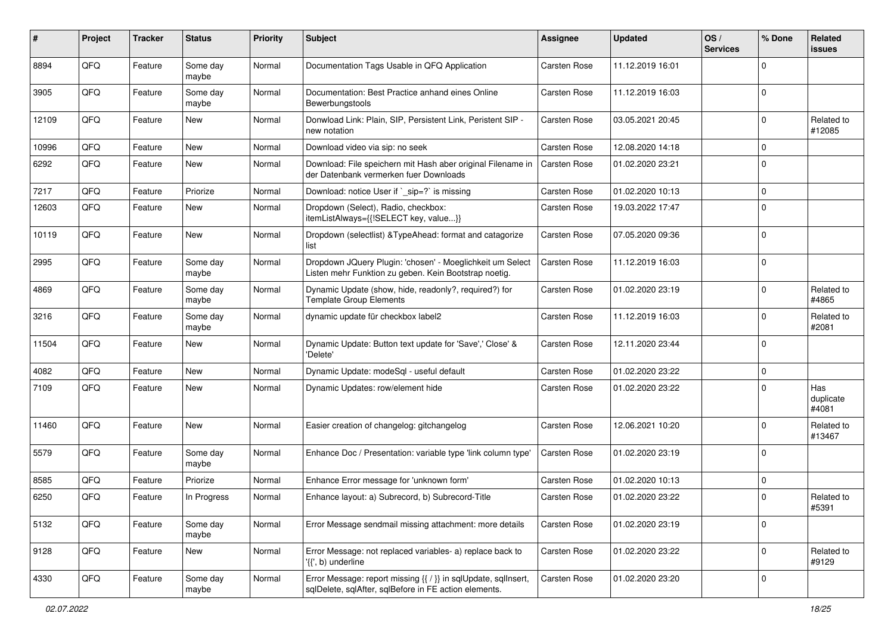| #     | Project | <b>Tracker</b> | <b>Status</b>     | <b>Priority</b> | <b>Subject</b>                                                                                                          | <b>Assignee</b>     | <b>Updated</b>   | OS/<br><b>Services</b> | % Done       | Related<br>issues         |
|-------|---------|----------------|-------------------|-----------------|-------------------------------------------------------------------------------------------------------------------------|---------------------|------------------|------------------------|--------------|---------------------------|
| 8894  | QFQ     | Feature        | Some day<br>maybe | Normal          | Documentation Tags Usable in QFQ Application                                                                            | Carsten Rose        | 11.12.2019 16:01 |                        | $\Omega$     |                           |
| 3905  | QFQ     | Feature        | Some day<br>maybe | Normal          | Documentation: Best Practice anhand eines Online<br>Bewerbungstools                                                     | Carsten Rose        | 11.12.2019 16:03 |                        | $\mathbf 0$  |                           |
| 12109 | QFQ     | Feature        | New               | Normal          | Donwload Link: Plain, SIP, Persistent Link, Peristent SIP -<br>new notation                                             | <b>Carsten Rose</b> | 03.05.2021 20:45 |                        | $\Omega$     | Related to<br>#12085      |
| 10996 | QFQ     | Feature        | <b>New</b>        | Normal          | Download video via sip: no seek                                                                                         | Carsten Rose        | 12.08.2020 14:18 |                        | $\mathbf 0$  |                           |
| 6292  | QFQ     | Feature        | New               | Normal          | Download: File speichern mit Hash aber original Filename in<br>der Datenbank vermerken fuer Downloads                   | Carsten Rose        | 01.02.2020 23:21 |                        | $\Omega$     |                           |
| 7217  | QFQ     | Feature        | Priorize          | Normal          | Download: notice User if `_sip=?` is missing                                                                            | Carsten Rose        | 01.02.2020 10:13 |                        | $\mathbf 0$  |                           |
| 12603 | QFQ     | Feature        | New               | Normal          | Dropdown (Select), Radio, checkbox:<br>itemListAlways={{!SELECT key, value}}                                            | <b>Carsten Rose</b> | 19.03.2022 17:47 |                        | $\Omega$     |                           |
| 10119 | QFQ     | Feature        | New               | Normal          | Dropdown (selectlist) & TypeAhead: format and catagorize<br>list                                                        | <b>Carsten Rose</b> | 07.05.2020 09:36 |                        | $\mathbf 0$  |                           |
| 2995  | QFQ     | Feature        | Some day<br>maybe | Normal          | Dropdown JQuery Plugin: 'chosen' - Moeglichkeit um Select<br>Listen mehr Funktion zu geben. Kein Bootstrap noetig.      | Carsten Rose        | 11.12.2019 16:03 |                        | $\Omega$     |                           |
| 4869  | QFQ     | Feature        | Some day<br>maybe | Normal          | Dynamic Update (show, hide, readonly?, required?) for<br><b>Template Group Elements</b>                                 | Carsten Rose        | 01.02.2020 23:19 |                        | $\Omega$     | Related to<br>#4865       |
| 3216  | QFQ     | Feature        | Some day<br>maybe | Normal          | dynamic update für checkbox label2                                                                                      | Carsten Rose        | 11.12.2019 16:03 |                        | $\Omega$     | Related to<br>#2081       |
| 11504 | QFQ     | Feature        | New               | Normal          | Dynamic Update: Button text update for 'Save',' Close' &<br>'Delete'                                                    | Carsten Rose        | 12.11.2020 23:44 |                        | l 0          |                           |
| 4082  | QFQ     | Feature        | <b>New</b>        | Normal          | Dynamic Update: modeSql - useful default                                                                                | Carsten Rose        | 01.02.2020 23:22 |                        | $\mathbf 0$  |                           |
| 7109  | QFQ     | Feature        | New               | Normal          | Dynamic Updates: row/element hide                                                                                       | Carsten Rose        | 01.02.2020 23:22 |                        | $\Omega$     | Has<br>duplicate<br>#4081 |
| 11460 | QFQ     | Feature        | New               | Normal          | Easier creation of changelog: gitchangelog                                                                              | Carsten Rose        | 12.06.2021 10:20 |                        | $\Omega$     | Related to<br>#13467      |
| 5579  | QFQ     | Feature        | Some day<br>maybe | Normal          | Enhance Doc / Presentation: variable type 'link column type'                                                            | <b>Carsten Rose</b> | 01.02.2020 23:19 |                        | $\Omega$     |                           |
| 8585  | QFQ     | Feature        | Priorize          | Normal          | Enhance Error message for 'unknown form'                                                                                | Carsten Rose        | 01.02.2020 10:13 |                        | l 0          |                           |
| 6250  | QFQ     | Feature        | In Progress       | Normal          | Enhance layout: a) Subrecord, b) Subrecord-Title                                                                        | <b>Carsten Rose</b> | 01.02.2020 23:22 |                        | $\Omega$     | Related to<br>#5391       |
| 5132  | QFQ     | Feature        | Some day<br>maybe | Normal          | Error Message sendmail missing attachment: more details                                                                 | Carsten Rose        | 01.02.2020 23:19 |                        | l 0          |                           |
| 9128  | QFQ     | Feature        | New               | Normal          | Error Message: not replaced variables- a) replace back to<br>'{{', b) underline                                         | Carsten Rose        | 01.02.2020 23:22 |                        | $\mathbf{0}$ | Related to<br>#9129       |
| 4330  | QFQ     | Feature        | Some day<br>maybe | Normal          | Error Message: report missing {{ / }} in sqlUpdate, sqlInsert,<br>sqlDelete, sqlAfter, sqlBefore in FE action elements. | Carsten Rose        | 01.02.2020 23:20 |                        | $\mathbf 0$  |                           |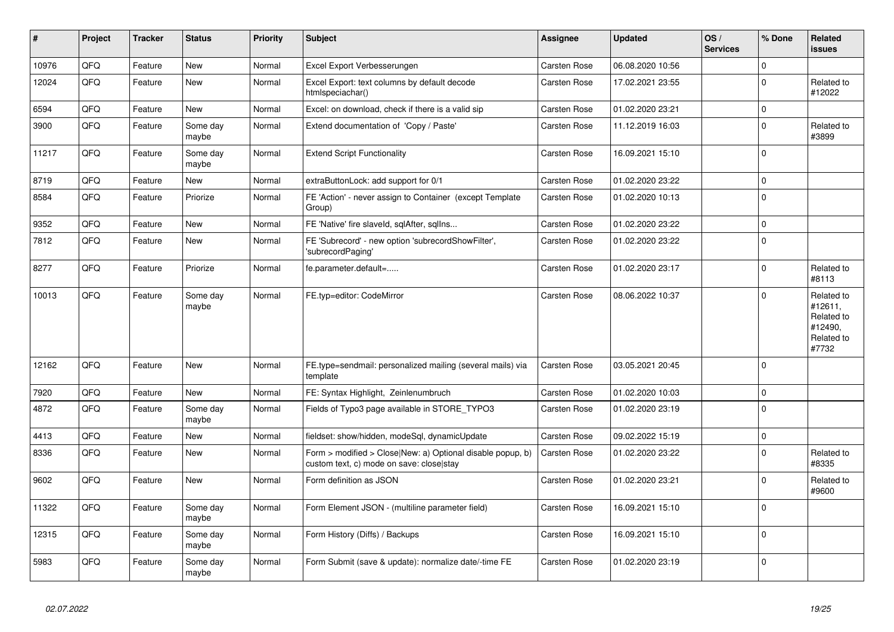| $\vert$ # | Project | <b>Tracker</b> | <b>Status</b>     | <b>Priority</b> | <b>Subject</b>                                                                                         | Assignee            | <b>Updated</b>   | OS/<br><b>Services</b> | % Done         | Related<br><b>issues</b>                                              |
|-----------|---------|----------------|-------------------|-----------------|--------------------------------------------------------------------------------------------------------|---------------------|------------------|------------------------|----------------|-----------------------------------------------------------------------|
| 10976     | QFQ     | Feature        | <b>New</b>        | Normal          | Excel Export Verbesserungen                                                                            | Carsten Rose        | 06.08.2020 10:56 |                        | $\Omega$       |                                                                       |
| 12024     | QFQ     | Feature        | New               | Normal          | Excel Export: text columns by default decode<br>htmlspeciachar()                                       | Carsten Rose        | 17.02.2021 23:55 |                        | $\Omega$       | Related to<br>#12022                                                  |
| 6594      | QFQ     | Feature        | <b>New</b>        | Normal          | Excel: on download, check if there is a valid sip                                                      | Carsten Rose        | 01.02.2020 23:21 |                        | $\mathbf 0$    |                                                                       |
| 3900      | QFQ     | Feature        | Some day<br>maybe | Normal          | Extend documentation of 'Copy / Paste'                                                                 | Carsten Rose        | 11.12.2019 16:03 |                        | $\Omega$       | Related to<br>#3899                                                   |
| 11217     | QFQ     | Feature        | Some day<br>maybe | Normal          | <b>Extend Script Functionality</b>                                                                     | Carsten Rose        | 16.09.2021 15:10 |                        | $\Omega$       |                                                                       |
| 8719      | QFQ     | Feature        | <b>New</b>        | Normal          | extraButtonLock: add support for 0/1                                                                   | Carsten Rose        | 01.02.2020 23:22 |                        | $\mathbf 0$    |                                                                       |
| 8584      | QFQ     | Feature        | Priorize          | Normal          | FE 'Action' - never assign to Container (except Template<br>Group)                                     | Carsten Rose        | 01.02.2020 10:13 |                        | $\Omega$       |                                                                       |
| 9352      | QFQ     | Feature        | <b>New</b>        | Normal          | FE 'Native' fire slaveld, sqlAfter, sqllns                                                             | Carsten Rose        | 01.02.2020 23:22 |                        | $\mathbf 0$    |                                                                       |
| 7812      | QFQ     | Feature        | New               | Normal          | FE 'Subrecord' - new option 'subrecordShowFilter',<br>'subrecordPaging'                                | Carsten Rose        | 01.02.2020 23:22 |                        | $\mathbf 0$    |                                                                       |
| 8277      | QFQ     | Feature        | Priorize          | Normal          | fe.parameter.default=                                                                                  | Carsten Rose        | 01.02.2020 23:17 |                        | $\mathbf 0$    | Related to<br>#8113                                                   |
| 10013     | QFQ     | Feature        | Some day<br>maybe | Normal          | FE.typ=editor: CodeMirror                                                                              | Carsten Rose        | 08.06.2022 10:37 |                        | $\Omega$       | Related to<br>#12611,<br>Related to<br>#12490,<br>Related to<br>#7732 |
| 12162     | QFQ     | Feature        | <b>New</b>        | Normal          | FE.type=sendmail: personalized mailing (several mails) via<br>template                                 | <b>Carsten Rose</b> | 03.05.2021 20:45 |                        | $\overline{0}$ |                                                                       |
| 7920      | QFQ     | Feature        | New               | Normal          | FE: Syntax Highlight, Zeinlenumbruch                                                                   | Carsten Rose        | 01.02.2020 10:03 |                        | $\mathbf 0$    |                                                                       |
| 4872      | QFQ     | Feature        | Some day<br>maybe | Normal          | Fields of Typo3 page available in STORE_TYPO3                                                          | Carsten Rose        | 01.02.2020 23:19 |                        | $\mathbf 0$    |                                                                       |
| 4413      | QFQ     | Feature        | New               | Normal          | fieldset: show/hidden, modeSql, dynamicUpdate                                                          | Carsten Rose        | 09.02.2022 15:19 |                        | $\pmb{0}$      |                                                                       |
| 8336      | QFQ     | Feature        | New               | Normal          | Form > modified > Close New: a) Optional disable popup, b)<br>custom text, c) mode on save: close stay | Carsten Rose        | 01.02.2020 23:22 |                        | $\Omega$       | Related to<br>#8335                                                   |
| 9602      | QFQ     | Feature        | <b>New</b>        | Normal          | Form definition as JSON                                                                                | Carsten Rose        | 01.02.2020 23:21 |                        | $\Omega$       | Related to<br>#9600                                                   |
| 11322     | QFQ     | Feature        | Some day<br>maybe | Normal          | Form Element JSON - (multiline parameter field)                                                        | Carsten Rose        | 16.09.2021 15:10 |                        | $\mathbf{0}$   |                                                                       |
| 12315     | QFQ     | Feature        | Some day<br>maybe | Normal          | Form History (Diffs) / Backups                                                                         | Carsten Rose        | 16.09.2021 15:10 |                        | $\Omega$       |                                                                       |
| 5983      | QFQ     | Feature        | Some day<br>maybe | Normal          | Form Submit (save & update): normalize date/-time FE                                                   | Carsten Rose        | 01.02.2020 23:19 |                        | $\mathbf 0$    |                                                                       |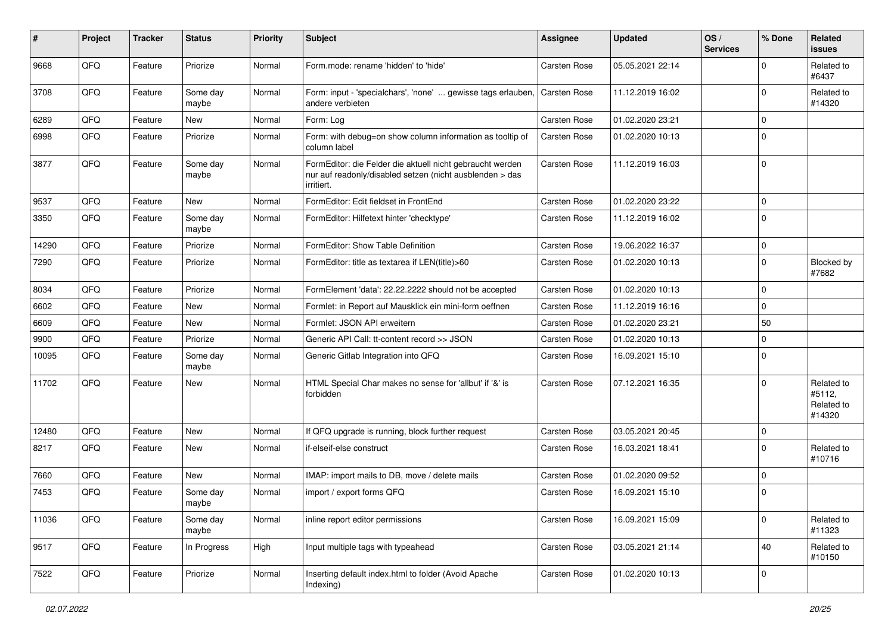| ∦     | Project | <b>Tracker</b> | <b>Status</b>     | <b>Priority</b> | Subject                                                                                                                             | <b>Assignee</b> | <b>Updated</b>   | OS/<br><b>Services</b> | % Done      | Related<br>issues                            |
|-------|---------|----------------|-------------------|-----------------|-------------------------------------------------------------------------------------------------------------------------------------|-----------------|------------------|------------------------|-------------|----------------------------------------------|
| 9668  | QFQ     | Feature        | Priorize          | Normal          | Form.mode: rename 'hidden' to 'hide'                                                                                                | Carsten Rose    | 05.05.2021 22:14 |                        | $\Omega$    | Related to<br>#6437                          |
| 3708  | QFQ     | Feature        | Some day<br>maybe | Normal          | Form: input - 'specialchars', 'none'  gewisse tags erlauben,<br>andere verbieten                                                    | Carsten Rose    | 11.12.2019 16:02 |                        | $\Omega$    | Related to<br>#14320                         |
| 6289  | QFQ     | Feature        | New               | Normal          | Form: Log                                                                                                                           | Carsten Rose    | 01.02.2020 23:21 |                        | $\Omega$    |                                              |
| 6998  | QFQ     | Feature        | Priorize          | Normal          | Form: with debug=on show column information as tooltip of<br>column label                                                           | Carsten Rose    | 01.02.2020 10:13 |                        | $\Omega$    |                                              |
| 3877  | QFQ     | Feature        | Some day<br>maybe | Normal          | FormEditor: die Felder die aktuell nicht gebraucht werden<br>nur auf readonly/disabled setzen (nicht ausblenden > das<br>irritiert. | Carsten Rose    | 11.12.2019 16:03 |                        | $\mathbf 0$ |                                              |
| 9537  | QFQ     | Feature        | <b>New</b>        | Normal          | FormEditor: Edit fieldset in FrontEnd                                                                                               | Carsten Rose    | 01.02.2020 23:22 |                        | $\Omega$    |                                              |
| 3350  | QFQ     | Feature        | Some day<br>maybe | Normal          | FormEditor: Hilfetext hinter 'checktype'                                                                                            | Carsten Rose    | 11.12.2019 16:02 |                        | $\mathbf 0$ |                                              |
| 14290 | QFQ     | Feature        | Priorize          | Normal          | FormEditor: Show Table Definition                                                                                                   | Carsten Rose    | 19.06.2022 16:37 |                        | $\mathbf 0$ |                                              |
| 7290  | QFQ     | Feature        | Priorize          | Normal          | FormEditor: title as textarea if LEN(title)>60                                                                                      | Carsten Rose    | 01.02.2020 10:13 |                        | $\Omega$    | Blocked by<br>#7682                          |
| 8034  | QFQ     | Feature        | Priorize          | Normal          | FormElement 'data': 22.22.2222 should not be accepted                                                                               | Carsten Rose    | 01.02.2020 10:13 |                        | 0           |                                              |
| 6602  | QFQ     | Feature        | New               | Normal          | Formlet: in Report auf Mausklick ein mini-form oeffnen                                                                              | Carsten Rose    | 11.12.2019 16:16 |                        | $\mathbf 0$ |                                              |
| 6609  | QFQ     | Feature        | New               | Normal          | Formlet: JSON API erweitern                                                                                                         | Carsten Rose    | 01.02.2020 23:21 |                        | 50          |                                              |
| 9900  | QFQ     | Feature        | Priorize          | Normal          | Generic API Call: tt-content record >> JSON                                                                                         | Carsten Rose    | 01.02.2020 10:13 |                        | $\Omega$    |                                              |
| 10095 | QFQ     | Feature        | Some day<br>maybe | Normal          | Generic Gitlab Integration into QFQ                                                                                                 | Carsten Rose    | 16.09.2021 15:10 |                        | $\mathbf 0$ |                                              |
| 11702 | QFQ     | Feature        | New               | Normal          | HTML Special Char makes no sense for 'allbut' if '&' is<br>forbidden                                                                | Carsten Rose    | 07.12.2021 16:35 |                        | $\Omega$    | Related to<br>#5112,<br>Related to<br>#14320 |
| 12480 | QFQ     | Feature        | New               | Normal          | If QFQ upgrade is running, block further request                                                                                    | Carsten Rose    | 03.05.2021 20:45 |                        | $\mathbf 0$ |                                              |
| 8217  | QFQ     | Feature        | New               | Normal          | if-elseif-else construct                                                                                                            | Carsten Rose    | 16.03.2021 18:41 |                        | $\Omega$    | Related to<br>#10716                         |
| 7660  | QFQ     | Feature        | <b>New</b>        | Normal          | IMAP: import mails to DB, move / delete mails                                                                                       | Carsten Rose    | 01.02.2020 09:52 |                        | $\mathbf 0$ |                                              |
| 7453  | QFQ     | Feature        | Some day<br>maybe | Normal          | import / export forms QFQ                                                                                                           | Carsten Rose    | 16.09.2021 15:10 |                        | $\mathbf 0$ |                                              |
| 11036 | QFQ     | Feature        | Some day<br>maybe | Normal          | inline report editor permissions                                                                                                    | Carsten Rose    | 16.09.2021 15:09 |                        | $\mathbf 0$ | Related to<br>#11323                         |
| 9517  | QFQ     | Feature        | In Progress       | High            | Input multiple tags with typeahead                                                                                                  | Carsten Rose    | 03.05.2021 21:14 |                        | 40          | Related to<br>#10150                         |
| 7522  | QFQ     | Feature        | Priorize          | Normal          | Inserting default index.html to folder (Avoid Apache<br>Indexing)                                                                   | Carsten Rose    | 01.02.2020 10:13 |                        | 0           |                                              |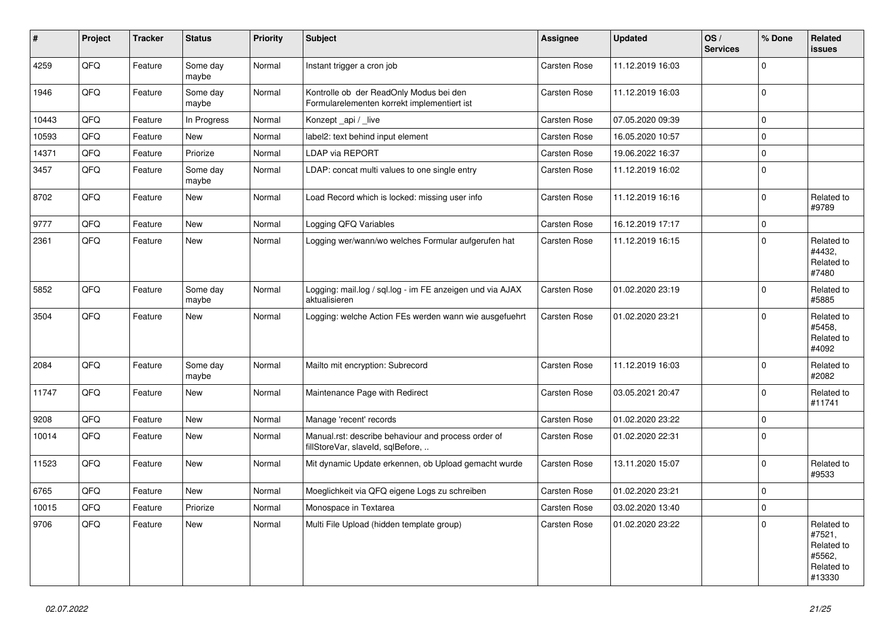| $\vert$ # | Project | <b>Tracker</b> | <b>Status</b>     | <b>Priority</b> | <b>Subject</b>                                                                           | Assignee            | <b>Updated</b>   | OS/<br><b>Services</b> | % Done      | Related<br><b>issues</b>                                             |
|-----------|---------|----------------|-------------------|-----------------|------------------------------------------------------------------------------------------|---------------------|------------------|------------------------|-------------|----------------------------------------------------------------------|
| 4259      | QFQ     | Feature        | Some day<br>maybe | Normal          | Instant trigger a cron job                                                               | <b>Carsten Rose</b> | 11.12.2019 16:03 |                        | $\mathbf 0$ |                                                                      |
| 1946      | QFQ     | Feature        | Some day<br>maybe | Normal          | Kontrolle ob der ReadOnly Modus bei den<br>Formularelementen korrekt implementiert ist   | Carsten Rose        | 11.12.2019 16:03 |                        | $\Omega$    |                                                                      |
| 10443     | QFQ     | Feature        | In Progress       | Normal          | Konzept _api / _live                                                                     | Carsten Rose        | 07.05.2020 09:39 |                        | $\mathbf 0$ |                                                                      |
| 10593     | QFQ     | Feature        | New               | Normal          | label2: text behind input element                                                        | Carsten Rose        | 16.05.2020 10:57 |                        | $\mathbf 0$ |                                                                      |
| 14371     | QFQ     | Feature        | Priorize          | Normal          | <b>LDAP via REPORT</b>                                                                   | Carsten Rose        | 19.06.2022 16:37 |                        | $\mathbf 0$ |                                                                      |
| 3457      | QFQ     | Feature        | Some day<br>maybe | Normal          | LDAP: concat multi values to one single entry                                            | Carsten Rose        | 11.12.2019 16:02 |                        | $\mathbf 0$ |                                                                      |
| 8702      | QFQ     | Feature        | New               | Normal          | Load Record which is locked: missing user info                                           | Carsten Rose        | 11.12.2019 16:16 |                        | $\Omega$    | Related to<br>#9789                                                  |
| 9777      | QFQ     | Feature        | <b>New</b>        | Normal          | Logging QFQ Variables                                                                    | Carsten Rose        | 16.12.2019 17:17 |                        | $\mathbf 0$ |                                                                      |
| 2361      | QFQ     | Feature        | <b>New</b>        | Normal          | Logging wer/wann/wo welches Formular aufgerufen hat                                      | Carsten Rose        | 11.12.2019 16:15 |                        | $\Omega$    | Related to<br>#4432,<br>Related to<br>#7480                          |
| 5852      | QFQ     | Feature        | Some day<br>maybe | Normal          | Logging: mail.log / sql.log - im FE anzeigen und via AJAX<br>aktualisieren               | Carsten Rose        | 01.02.2020 23:19 |                        | $\Omega$    | Related to<br>#5885                                                  |
| 3504      | QFQ     | Feature        | New               | Normal          | Logging: welche Action FEs werden wann wie ausgefuehrt                                   | <b>Carsten Rose</b> | 01.02.2020 23:21 |                        | $\Omega$    | Related to<br>#5458.<br>Related to<br>#4092                          |
| 2084      | QFQ     | Feature        | Some day<br>maybe | Normal          | Mailto mit encryption: Subrecord                                                         | Carsten Rose        | 11.12.2019 16:03 |                        | $\mathbf 0$ | Related to<br>#2082                                                  |
| 11747     | QFQ     | Feature        | <b>New</b>        | Normal          | Maintenance Page with Redirect                                                           | Carsten Rose        | 03.05.2021 20:47 |                        | $\Omega$    | Related to<br>#11741                                                 |
| 9208      | QFQ     | Feature        | New               | Normal          | Manage 'recent' records                                                                  | Carsten Rose        | 01.02.2020 23:22 |                        | $\mathbf 0$ |                                                                      |
| 10014     | QFQ     | Feature        | New               | Normal          | Manual.rst: describe behaviour and process order of<br>fillStoreVar, slaveId, sqlBefore, | Carsten Rose        | 01.02.2020 22:31 |                        | $\mathbf 0$ |                                                                      |
| 11523     | QFQ     | Feature        | New               | Normal          | Mit dynamic Update erkennen, ob Upload gemacht wurde                                     | Carsten Rose        | 13.11.2020 15:07 |                        | $\Omega$    | Related to<br>#9533                                                  |
| 6765      | QFQ     | Feature        | <b>New</b>        | Normal          | Moeglichkeit via QFQ eigene Logs zu schreiben                                            | Carsten Rose        | 01.02.2020 23:21 |                        | $\mathbf 0$ |                                                                      |
| 10015     | QFQ     | Feature        | Priorize          | Normal          | Monospace in Textarea                                                                    | <b>Carsten Rose</b> | 03.02.2020 13:40 |                        | $\mathbf 0$ |                                                                      |
| 9706      | QFQ     | Feature        | New               | Normal          | Multi File Upload (hidden template group)                                                | Carsten Rose        | 01.02.2020 23:22 |                        | $\mathbf 0$ | Related to<br>#7521,<br>Related to<br>#5562,<br>Related to<br>#13330 |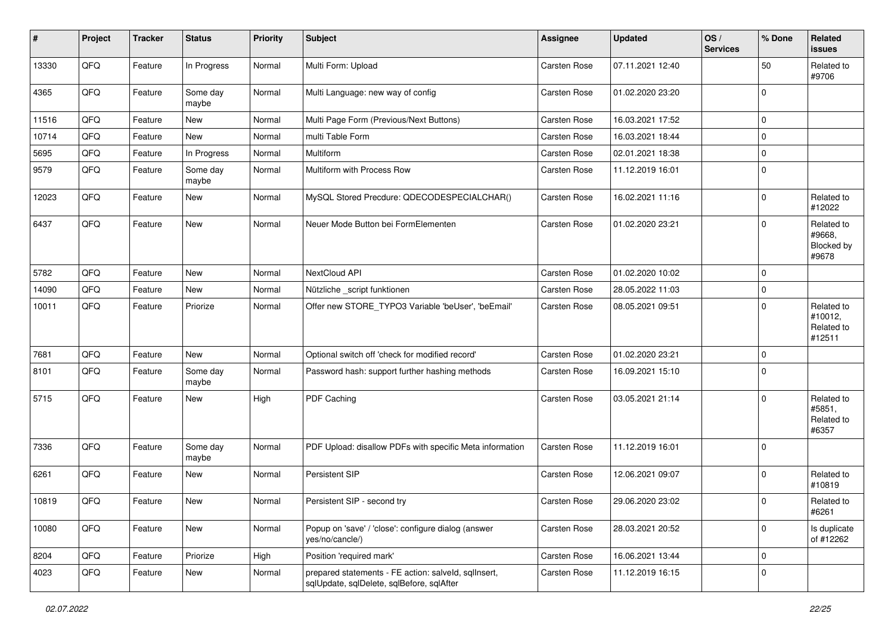| $\sharp$ | Project | <b>Tracker</b> | <b>Status</b>     | <b>Priority</b> | <b>Subject</b>                                                                                    | Assignee            | <b>Updated</b>   | OS/<br><b>Services</b> | % Done      | Related<br>issues                             |
|----------|---------|----------------|-------------------|-----------------|---------------------------------------------------------------------------------------------------|---------------------|------------------|------------------------|-------------|-----------------------------------------------|
| 13330    | QFQ     | Feature        | In Progress       | Normal          | Multi Form: Upload                                                                                | Carsten Rose        | 07.11.2021 12:40 |                        | 50          | Related to<br>#9706                           |
| 4365     | QFQ     | Feature        | Some day<br>maybe | Normal          | Multi Language: new way of config                                                                 | Carsten Rose        | 01.02.2020 23:20 |                        | $\mathbf 0$ |                                               |
| 11516    | QFQ     | Feature        | New               | Normal          | Multi Page Form (Previous/Next Buttons)                                                           | Carsten Rose        | 16.03.2021 17:52 |                        | $\mathbf 0$ |                                               |
| 10714    | QFQ     | Feature        | New               | Normal          | multi Table Form                                                                                  | Carsten Rose        | 16.03.2021 18:44 |                        | $\mathbf 0$ |                                               |
| 5695     | QFQ     | Feature        | In Progress       | Normal          | Multiform                                                                                         | Carsten Rose        | 02.01.2021 18:38 |                        | $\mathbf 0$ |                                               |
| 9579     | QFQ     | Feature        | Some day<br>maybe | Normal          | Multiform with Process Row                                                                        | Carsten Rose        | 11.12.2019 16:01 |                        | $\mathbf 0$ |                                               |
| 12023    | QFQ     | Feature        | New               | Normal          | MySQL Stored Precdure: QDECODESPECIALCHAR()                                                       | Carsten Rose        | 16.02.2021 11:16 |                        | $\mathbf 0$ | Related to<br>#12022                          |
| 6437     | QFQ     | Feature        | New               | Normal          | Neuer Mode Button bei FormElementen                                                               | Carsten Rose        | 01.02.2020 23:21 |                        | $\mathbf 0$ | Related to<br>#9668,<br>Blocked by<br>#9678   |
| 5782     | QFQ     | Feature        | New               | Normal          | NextCloud API                                                                                     | Carsten Rose        | 01.02.2020 10:02 |                        | $\mathbf 0$ |                                               |
| 14090    | QFQ     | Feature        | New               | Normal          | Nützliche _script funktionen                                                                      | Carsten Rose        | 28.05.2022 11:03 |                        | $\mathbf 0$ |                                               |
| 10011    | QFQ     | Feature        | Priorize          | Normal          | Offer new STORE_TYPO3 Variable 'beUser', 'beEmail'                                                | Carsten Rose        | 08.05.2021 09:51 |                        | $\mathbf 0$ | Related to<br>#10012,<br>Related to<br>#12511 |
| 7681     | QFQ     | Feature        | New               | Normal          | Optional switch off 'check for modified record'                                                   | Carsten Rose        | 01.02.2020 23:21 |                        | $\mathbf 0$ |                                               |
| 8101     | QFQ     | Feature        | Some day<br>maybe | Normal          | Password hash: support further hashing methods                                                    | Carsten Rose        | 16.09.2021 15:10 |                        | $\mathbf 0$ |                                               |
| 5715     | QFQ     | Feature        | New               | High            | PDF Caching                                                                                       | Carsten Rose        | 03.05.2021 21:14 |                        | $\mathbf 0$ | Related to<br>#5851,<br>Related to<br>#6357   |
| 7336     | QFQ     | Feature        | Some day<br>maybe | Normal          | PDF Upload: disallow PDFs with specific Meta information                                          | <b>Carsten Rose</b> | 11.12.2019 16:01 |                        | $\mathbf 0$ |                                               |
| 6261     | QFQ     | Feature        | New               | Normal          | Persistent SIP                                                                                    | Carsten Rose        | 12.06.2021 09:07 |                        | $\mathbf 0$ | Related to<br>#10819                          |
| 10819    | QFQ     | Feature        | New               | Normal          | Persistent SIP - second try                                                                       | Carsten Rose        | 29.06.2020 23:02 |                        | $\mathbf 0$ | Related to<br>#6261                           |
| 10080    | QFG     | Feature        | New               | Normal          | Popup on 'save' / 'close': configure dialog (answer<br>yes/no/cancle/)                            | Carsten Rose        | 28.03.2021 20:52 |                        | $\mathbf 0$ | Is duplicate<br>of #12262                     |
| 8204     | QFQ     | Feature        | Priorize          | High            | Position 'required mark'                                                                          | Carsten Rose        | 16.06.2021 13:44 |                        | $\mathbf 0$ |                                               |
| 4023     | QFQ     | Feature        | New               | Normal          | prepared statements - FE action: salveld, sqllnsert,<br>sqlUpdate, sqlDelete, sqlBefore, sqlAfter | Carsten Rose        | 11.12.2019 16:15 |                        | $\mathbf 0$ |                                               |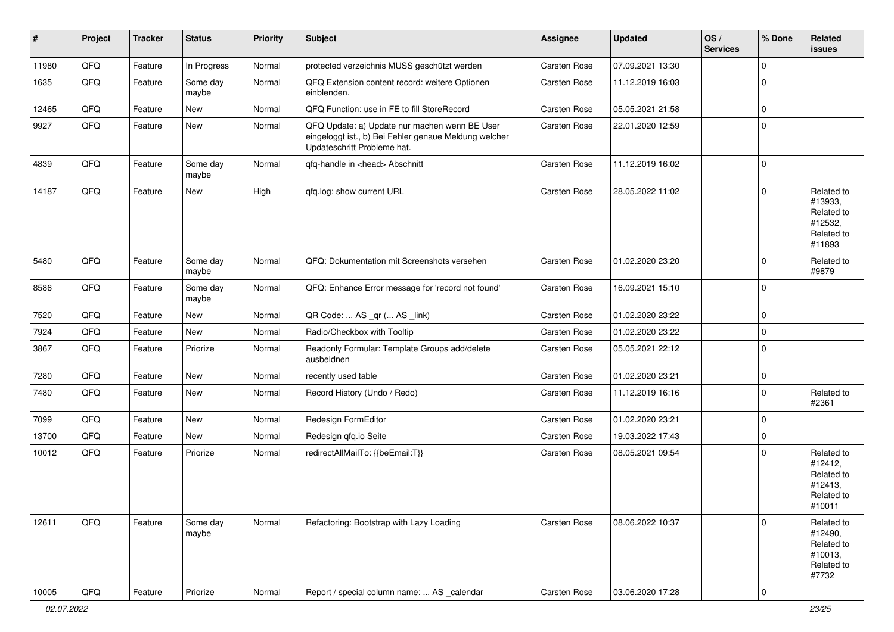| $\vert$ # | Project | <b>Tracker</b> | <b>Status</b>     | <b>Priority</b> | <b>Subject</b>                                                                                                                        | <b>Assignee</b> | <b>Updated</b>   | OS/<br><b>Services</b> | % Done         | Related<br>issues                                                      |
|-----------|---------|----------------|-------------------|-----------------|---------------------------------------------------------------------------------------------------------------------------------------|-----------------|------------------|------------------------|----------------|------------------------------------------------------------------------|
| 11980     | QFQ     | Feature        | In Progress       | Normal          | protected verzeichnis MUSS geschützt werden                                                                                           | Carsten Rose    | 07.09.2021 13:30 |                        | $\mathbf 0$    |                                                                        |
| 1635      | QFQ     | Feature        | Some day<br>maybe | Normal          | QFQ Extension content record: weitere Optionen<br>einblenden.                                                                         | Carsten Rose    | 11.12.2019 16:03 |                        | $\mathbf 0$    |                                                                        |
| 12465     | QFQ     | Feature        | New               | Normal          | QFQ Function: use in FE to fill StoreRecord                                                                                           | Carsten Rose    | 05.05.2021 21:58 |                        | $\mathbf 0$    |                                                                        |
| 9927      | QFQ     | Feature        | New               | Normal          | QFQ Update: a) Update nur machen wenn BE User<br>eingeloggt ist., b) Bei Fehler genaue Meldung welcher<br>Updateschritt Probleme hat. | Carsten Rose    | 22.01.2020 12:59 |                        | $\mathbf 0$    |                                                                        |
| 4839      | QFQ     | Feature        | Some day<br>maybe | Normal          | qfq-handle in <head> Abschnitt</head>                                                                                                 | Carsten Rose    | 11.12.2019 16:02 |                        | $\mathbf 0$    |                                                                        |
| 14187     | QFQ     | Feature        | New               | High            | qfq.log: show current URL                                                                                                             | Carsten Rose    | 28.05.2022 11:02 |                        | $\mathbf 0$    | Related to<br>#13933,<br>Related to<br>#12532,<br>Related to<br>#11893 |
| 5480      | QFQ     | Feature        | Some day<br>maybe | Normal          | QFQ: Dokumentation mit Screenshots versehen                                                                                           | Carsten Rose    | 01.02.2020 23:20 |                        | $\mathbf 0$    | Related to<br>#9879                                                    |
| 8586      | QFQ     | Feature        | Some day<br>maybe | Normal          | QFQ: Enhance Error message for 'record not found'                                                                                     | Carsten Rose    | 16.09.2021 15:10 |                        | $\mathbf 0$    |                                                                        |
| 7520      | QFQ     | Feature        | New               | Normal          | QR Code:  AS _qr ( AS _link)                                                                                                          | Carsten Rose    | 01.02.2020 23:22 |                        | $\mathbf 0$    |                                                                        |
| 7924      | QFQ     | Feature        | New               | Normal          | Radio/Checkbox with Tooltip                                                                                                           | Carsten Rose    | 01.02.2020 23:22 |                        | $\mathbf 0$    |                                                                        |
| 3867      | QFQ     | Feature        | Priorize          | Normal          | Readonly Formular: Template Groups add/delete<br>ausbeldnen                                                                           | Carsten Rose    | 05.05.2021 22:12 |                        | $\mathbf 0$    |                                                                        |
| 7280      | QFQ     | Feature        | New               | Normal          | recently used table                                                                                                                   | Carsten Rose    | 01.02.2020 23:21 |                        | $\mathbf 0$    |                                                                        |
| 7480      | QFQ     | Feature        | New               | Normal          | Record History (Undo / Redo)                                                                                                          | Carsten Rose    | 11.12.2019 16:16 |                        | $\Omega$       | Related to<br>#2361                                                    |
| 7099      | QFQ     | Feature        | New               | Normal          | Redesign FormEditor                                                                                                                   | Carsten Rose    | 01.02.2020 23:21 |                        | $\mathbf 0$    |                                                                        |
| 13700     | QFQ     | Feature        | New               | Normal          | Redesign qfq.io Seite                                                                                                                 | Carsten Rose    | 19.03.2022 17:43 |                        | $\mathbf 0$    |                                                                        |
| 10012     | QFQ     | Feature        | Priorize          | Normal          | redirectAllMailTo: {{beEmail:T}}                                                                                                      | Carsten Rose    | 08.05.2021 09:54 |                        | $\mathbf 0$    | Related to<br>#12412,<br>Related to<br>#12413,<br>Related to<br>#10011 |
| 12611     | QFQ     | Feature        | Some day<br>maybe | Normal          | Refactoring: Bootstrap with Lazy Loading                                                                                              | Carsten Rose    | 08.06.2022 10:37 |                        | $\mathbf 0$    | Related to<br>#12490,<br>Related to<br>#10013,<br>Related to<br>#7732  |
| 10005     | QFQ     | Feature        | Priorize          | Normal          | Report / special column name:  AS _calendar                                                                                           | Carsten Rose    | 03.06.2020 17:28 |                        | $\overline{0}$ |                                                                        |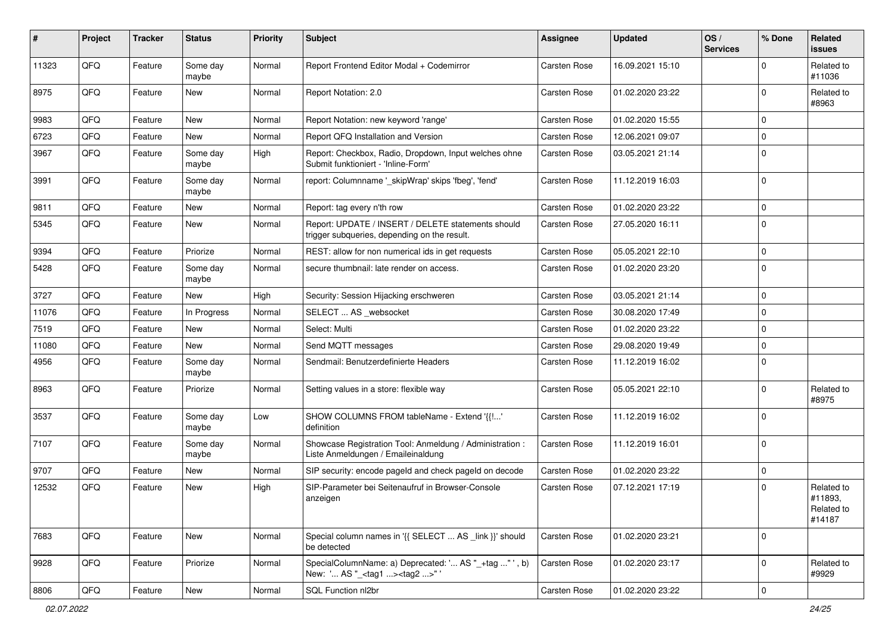| $\pmb{\sharp}$ | Project | <b>Tracker</b> | <b>Status</b>     | <b>Priority</b> | <b>Subject</b>                                                                                     | <b>Assignee</b> | <b>Updated</b>   | OS/<br><b>Services</b> | % Done      | Related<br><b>issues</b>                      |
|----------------|---------|----------------|-------------------|-----------------|----------------------------------------------------------------------------------------------------|-----------------|------------------|------------------------|-------------|-----------------------------------------------|
| 11323          | QFQ     | Feature        | Some day<br>maybe | Normal          | Report Frontend Editor Modal + Codemirror                                                          | Carsten Rose    | 16.09.2021 15:10 |                        | $\Omega$    | Related to<br>#11036                          |
| 8975           | QFQ     | Feature        | New               | Normal          | Report Notation: 2.0                                                                               | Carsten Rose    | 01.02.2020 23:22 |                        | $\Omega$    | Related to<br>#8963                           |
| 9983           | QFQ     | Feature        | <b>New</b>        | Normal          | Report Notation: new keyword 'range'                                                               | Carsten Rose    | 01.02.2020 15:55 |                        | $\Omega$    |                                               |
| 6723           | QFQ     | Feature        | New               | Normal          | Report QFQ Installation and Version                                                                | Carsten Rose    | 12.06.2021 09:07 |                        | l 0         |                                               |
| 3967           | QFQ     | Feature        | Some day<br>maybe | High            | Report: Checkbox, Radio, Dropdown, Input welches ohne<br>Submit funktioniert - 'Inline-Form'       | Carsten Rose    | 03.05.2021 21:14 |                        | I٥          |                                               |
| 3991           | QFQ     | Feature        | Some day<br>maybe | Normal          | report: Columnname '_skipWrap' skips 'fbeg', 'fend'                                                | Carsten Rose    | 11.12.2019 16:03 |                        | l 0         |                                               |
| 9811           | QFQ     | Feature        | New               | Normal          | Report: tag every n'th row                                                                         | Carsten Rose    | 01.02.2020 23:22 |                        | $\Omega$    |                                               |
| 5345           | QFQ     | Feature        | New               | Normal          | Report: UPDATE / INSERT / DELETE statements should<br>trigger subqueries, depending on the result. | Carsten Rose    | 27.05.2020 16:11 |                        | I٥          |                                               |
| 9394           | QFQ     | Feature        | Priorize          | Normal          | REST: allow for non numerical ids in get requests                                                  | Carsten Rose    | 05.05.2021 22:10 |                        | $\Omega$    |                                               |
| 5428           | QFQ     | Feature        | Some day<br>maybe | Normal          | secure thumbnail: late render on access.                                                           | Carsten Rose    | 01.02.2020 23:20 |                        | ١o          |                                               |
| 3727           | QFQ     | Feature        | New               | High            | Security: Session Hijacking erschweren                                                             | Carsten Rose    | 03.05.2021 21:14 |                        | l 0         |                                               |
| 11076          | QFQ     | Feature        | In Progress       | Normal          | SELECT  AS _websocket                                                                              | Carsten Rose    | 30.08.2020 17:49 |                        | $\mathbf 0$ |                                               |
| 7519           | QFQ     | Feature        | New               | Normal          | Select: Multi                                                                                      | Carsten Rose    | 01.02.2020 23:22 |                        | $\Omega$    |                                               |
| 11080          | QFQ     | Feature        | New               | Normal          | Send MQTT messages                                                                                 | Carsten Rose    | 29.08.2020 19:49 |                        | $\Omega$    |                                               |
| 4956           | QFQ     | Feature        | Some day<br>maybe | Normal          | Sendmail: Benutzerdefinierte Headers                                                               | Carsten Rose    | 11.12.2019 16:02 |                        | l O         |                                               |
| 8963           | QFQ     | Feature        | Priorize          | Normal          | Setting values in a store: flexible way                                                            | Carsten Rose    | 05.05.2021 22:10 |                        | $\Omega$    | Related to<br>#8975                           |
| 3537           | QFQ     | Feature        | Some day<br>maybe | Low             | SHOW COLUMNS FROM tableName - Extend '{{!'<br>definition                                           | Carsten Rose    | 11.12.2019 16:02 |                        | I٥          |                                               |
| 7107           | QFQ     | Feature        | Some day<br>maybe | Normal          | Showcase Registration Tool: Anmeldung / Administration :<br>Liste Anmeldungen / Emaileinaldung     | Carsten Rose    | 11.12.2019 16:01 |                        | $\Omega$    |                                               |
| 9707           | QFQ     | Feature        | New               | Normal          | SIP security: encode pageld and check pageld on decode                                             | Carsten Rose    | 01.02.2020 23:22 |                        | $\mathbf 0$ |                                               |
| 12532          | QFQ     | Feature        | New               | High            | SIP-Parameter bei Seitenaufruf in Browser-Console<br>anzeigen                                      | Carsten Rose    | 07.12.2021 17:19 |                        | $\Omega$    | Related to<br>#11893,<br>Related to<br>#14187 |
| 7683           | QFQ     | Feature        | New               | Normal          | Special column names in '{{ SELECT  AS _link }}' should<br>be detected                             | Carsten Rose    | 01.02.2020 23:21 |                        | 0           |                                               |
| 9928           | QFQ     | Feature        | Priorize          | Normal          | SpecialColumnName: a) Deprecated: ' AS "_+tag " ', b)<br>New: ' AS "_ <tag1><tag2>"'</tag2></tag1> | Carsten Rose    | 01.02.2020 23:17 |                        | l 0         | Related to<br>#9929                           |
| 8806           | QFG     | Feature        | New               | Normal          | SQL Function nl2br                                                                                 | Carsten Rose    | 01.02.2020 23:22 |                        | $\mathbf 0$ |                                               |